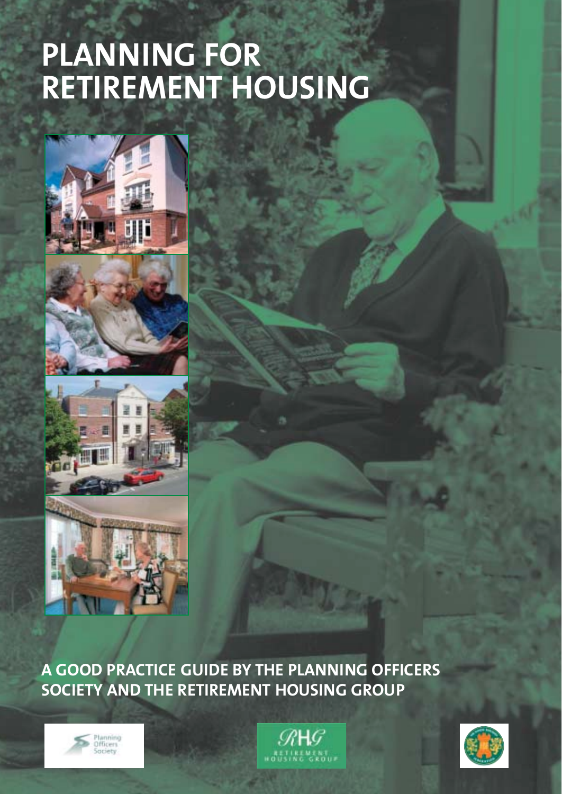# **PLANNING FOR RETIREMENT HOUSING**



**A GOOD PRACTICE GUIDE BY THE PLANNING OFFICERS SOCIETY AND THE RETIREMENT HOUSING GROUP**





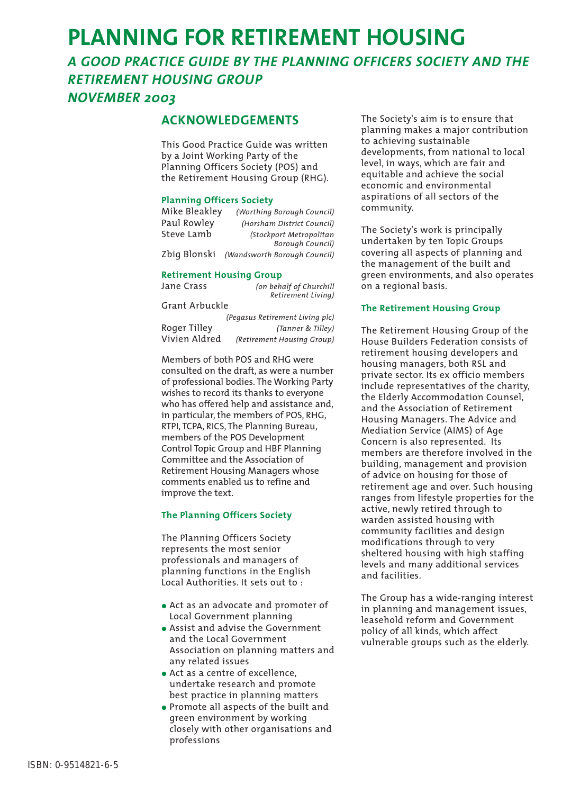# **PLANNING FOR RETIREMENT HOUSING**

# *A GOOD PRACTICE GUIDE BY THE PLANNING OFFICERS SOCIETY AND THE RETIREMENT HOUSING GROUP NOVEMBER 2003*

## **ACKNOWLEDGEMENTS**

This Good Practice Guide was written by a Joint Working Party of the Planning Officers Society (POS) and the Retirement Housing Group (RHG).

#### **Planning Officers Society**

| Mike Bleakley       | (Worthing Borough Council)                                                                                                                                                                                                                                                                                                |
|---------------------|---------------------------------------------------------------------------------------------------------------------------------------------------------------------------------------------------------------------------------------------------------------------------------------------------------------------------|
| Paul Rowley         | (Horsham District Council)                                                                                                                                                                                                                                                                                                |
| Steve Lamb          | (Stockport Metropolitan                                                                                                                                                                                                                                                                                                   |
|                     | Borough Council)                                                                                                                                                                                                                                                                                                          |
| $71.2 - 01.4 - 1.2$ | $\sqrt{2}$<br>$\mathbf{r}$ , $\mathbf{r}$ , $\mathbf{r}$ , $\mathbf{r}$ , $\mathbf{r}$ , $\mathbf{r}$ , $\mathbf{r}$ , $\mathbf{r}$ , $\mathbf{r}$ , $\mathbf{r}$ , $\mathbf{r}$ , $\mathbf{r}$ , $\mathbf{r}$ , $\mathbf{r}$ , $\mathbf{r}$ , $\mathbf{r}$ , $\mathbf{r}$ , $\mathbf{r}$ , $\mathbf{r}$ , $\mathbf{r}$ , |

Zbig Blonski *(Wandsworth Borough Council)*

#### **Retirement Housing Group**

| Jane Crass     | (on behalf of Churchill<br>Retirement Living) |
|----------------|-----------------------------------------------|
| Grant Arbuckle |                                               |
|                | (Pegasus Retirement Living plc)               |

Roger Tilley *(Tanner & Tilley)* Vivien Aldred *(Retirement Housing Group)*

Members of both POS and RHG were consulted on the draft, as were a number of professional bodies. The Working Party wishes to record its thanks to everyone who has offered help and assistance and, in particular, the members of POS, RHG, RTPI, TCPA, RICS, The Planning Bureau, members of the POS Development Control Topic Group and HBF Planning Committee and the Association of Retirement Housing Managers whose comments enabled us to refine and improve the text.

#### **The Planning Officers Society**

The Planning Officers Society represents the most senior professionals and managers of planning functions in the English Local Authorities. It sets out to :

- Act as an advocate and promoter of Local Government planning
- Assist and advise the Government and the Local Government Association on planning matters and any related issues
- Act as a centre of excellence, undertake research and promote best practice in planning matters
- Promote all aspects of the built and green environment by working closely with other organisations and professions

The Society's aim is to ensure that planning makes a major contribution to achieving sustainable developments, from national to local level, in ways, which are fair and equitable and achieve the social economic and environmental aspirations of all sectors of the community.

The Society's work is principally undertaken by ten Topic Groups covering all aspects of planning and the management of the built and green environments, and also operates on a regional basis.

#### **The Retirement Housing Group**

The Retirement Housing Group of the House Builders Federation consists of retirement housing developers and housing managers, both RSL and private sector. Its ex officio members include representatives of the charity, the Elderly Accommodation Counsel, and the Association of Retirement Housing Managers. The Advice and Mediation Service (AIMS) of Age Concern is also represented. Its members are therefore involved in the building, management and provision of advice on housing for those of retirement age and over. Such housing ranges from lifestyle properties for the active, newly retired through to warden assisted housing with community facilities and design modifications through to very sheltered housing with high staffing levels and many additional services and facilities.

The Group has a wide-ranging interest in planning and management issues, leasehold reform and Government policy of all kinds, which affect vulnerable groups such as the elderly.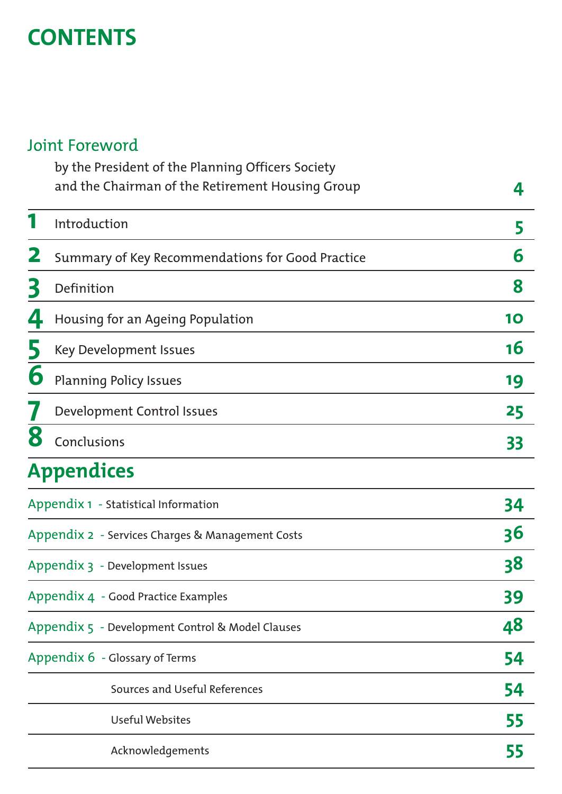# **CONTENTS**

# Joint Foreword

|   | by the President of the Planning Officers Society |    |
|---|---------------------------------------------------|----|
|   | and the Chairman of the Retirement Housing Group  | 4  |
|   | Introduction                                      | 5  |
| 2 | Summary of Key Recommendations for Good Practice  | 6  |
| 3 | Definition                                        | 8  |
| 4 | Housing for an Ageing Population                  | 10 |
| C | <b>Key Development Issues</b>                     | 16 |
| 6 | <b>Planning Policy Issues</b>                     | 19 |
|   | Development Control Issues                        | 25 |
| 8 | Conclusions                                       | 33 |
|   | <b>Appendices</b>                                 |    |
|   | Appendix 1 - Statistical Information              | 34 |
|   | Appendix 2 - Services Charges & Management Costs  | 36 |
|   | Appendix 3 - Development Issues                   | 38 |
|   | Appendix 4 - Good Practice Examples               | 39 |
|   | Appendix 5 - Development Control & Model Clauses  | 48 |
|   | Appendix 6 - Glossary of Terms                    | 54 |
|   | Sources and Useful References                     | 54 |
|   | <b>Useful Websites</b>                            | 55 |
|   | Acknowledgements                                  | 55 |
|   |                                                   |    |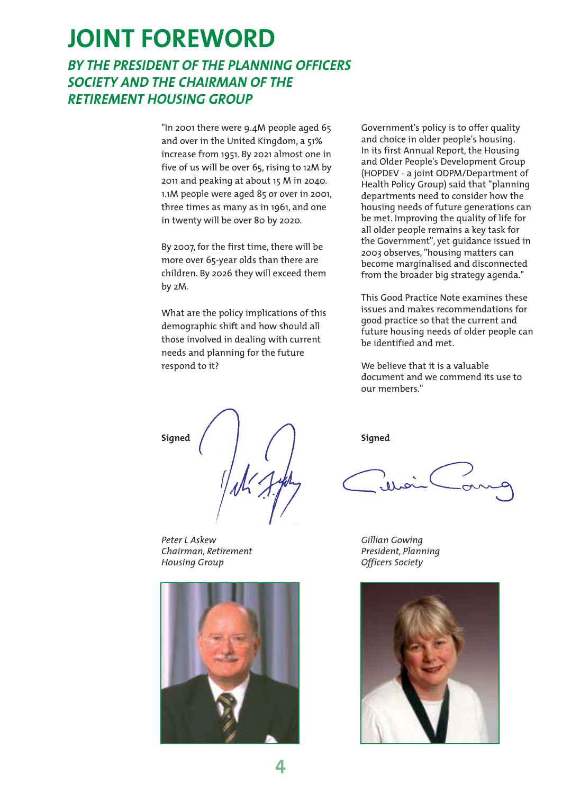# **JOINT FOREWORD**

# *BY THE PRESIDENT OF THE PLANNING OFFICERS SOCIETY AND THE CHAIRMAN OF THE RETIREMENT HOUSING GROUP*

"In 2001 there were 9.4M people aged 65 and over in the United Kingdom, a 51% increase from 1951. By 2021 almost one in five of us will be over 65, rising to 12M by 2011 and peaking at about 15 M in 2040. 1.1M people were aged 85 or over in 2001, three times as many as in 1961, and one in twenty will be over 80 by 2020.

By 2007, for the first time, there will be more over 65-year olds than there are children. By 2026 they will exceed them by 2M.

What are the policy implications of this demographic shift and how should all those involved in dealing with current needs and planning for the future respond to it?

**Signed**

*Peter L Askew Chairman, Retirement Housing Group*



Government's policy is to offer quality and choice in older people's housing. In its first Annual Report, the Housing and Older People's Development Group (HOPDEV - a joint ODPM/Department of Health Policy Group) said that "planning departments need to consider how the housing needs of future generations can be met. Improving the quality of life for all older people remains a key task for the Government", yet guidance issued in 2003 observes, "housing matters can become marginalised and disconnected from the broader big strategy agenda."

This Good Practice Note examines these issues and makes recommendations for good practice so that the current and future housing needs of older people can be identified and met.

We believe that it is a valuable document and we commend its use to our members."

**Signed**

*Gillian Gowing President, Planning Officers Society*

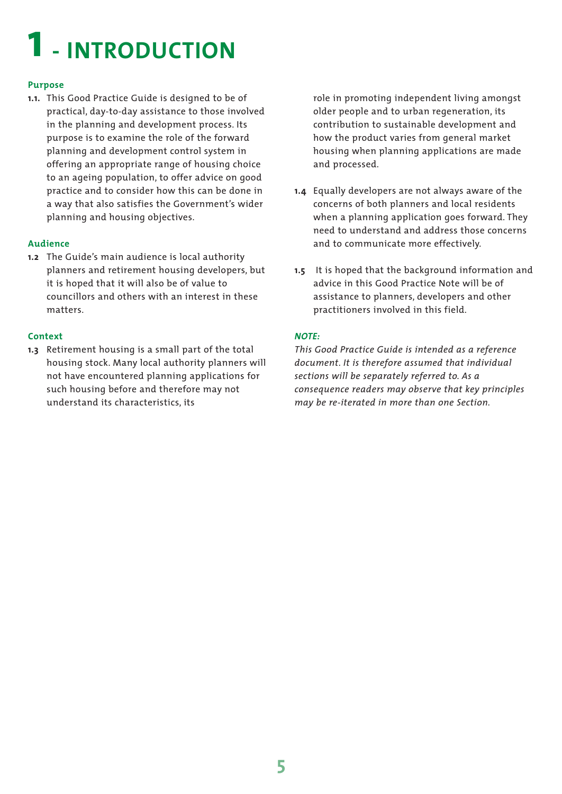# **1- INTRODUCTION**

#### **Purpose**

**1.1.** This Good Practice Guide is designed to be of practical, day-to-day assistance to those involved in the planning and development process. Its purpose is to examine the role of the forward planning and development control system in offering an appropriate range of housing choice to an ageing population, to offer advice on good practice and to consider how this can be done in a way that also satisfies the Government's wider planning and housing objectives.

#### **Audience**

**1.2** The Guide's main audience is local authority planners and retirement housing developers, but it is hoped that it will also be of value to councillors and others with an interest in these matters.

#### **Context**

**1.3** Retirement housing is a small part of the total housing stock. Many local authority planners will not have encountered planning applications for such housing before and therefore may not understand its characteristics, its

role in promoting independent living amongst older people and to urban regeneration, its contribution to sustainable development and how the product varies from general market housing when planning applications are made and processed.

- **1.4** Equally developers are not always aware of the concerns of both planners and local residents when a planning application goes forward. They need to understand and address those concerns and to communicate more effectively.
- **1.5** It is hoped that the background information and advice in this Good Practice Note will be of assistance to planners, developers and other practitioners involved in this field.

#### *NOTE:*

*This Good Practice Guide is intended as a reference document. It is therefore assumed that individual sections will be separately referred to. As a consequence readers may observe that key principles may be re-iterated in more than one Section.*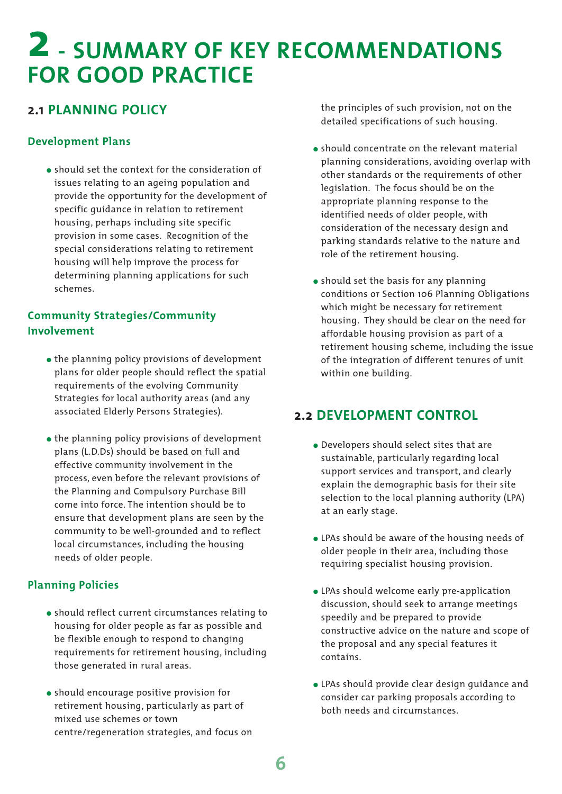# **2 - SUMMARY OF KEY RECOMMENDATIONS FOR GOOD PRACTICE**

# **2.1 PLANNING POLICY**

# **Development Plans**

 should set the context for the consideration of issues relating to an ageing population and provide the opportunity for the development of specific guidance in relation to retirement housing, perhaps including site specific provision in some cases. Recognition of the special considerations relating to retirement housing will help improve the process for determining planning applications for such schemes.

# **Community Strategies/Community Involvement**

- the planning policy provisions of development plans for older people should reflect the spatial requirements of the evolving Community Strategies for local authority areas (and any associated Elderly Persons Strategies).
- the planning policy provisions of development plans (L.D.Ds) should be based on full and effective community involvement in the process, even before the relevant provisions of the Planning and Compulsory Purchase Bill come into force. The intention should be to ensure that development plans are seen by the community to be well-grounded and to reflect local circumstances, including the housing needs of older people.

# **Planning Policies**

- should reflect current circumstances relating to housing for older people as far as possible and be flexible enough to respond to changing requirements for retirement housing, including those generated in rural areas.
- should encourage positive provision for retirement housing, particularly as part of mixed use schemes or town centre/regeneration strategies, and focus on

the principles of such provision, not on the detailed specifications of such housing.

- should concentrate on the relevant material planning considerations, avoiding overlap with other standards or the requirements of other legislation. The focus should be on the appropriate planning response to the identified needs of older people, with consideration of the necessary design and parking standards relative to the nature and role of the retirement housing.
- should set the basis for any planning conditions or Section 106 Planning Obligations which might be necessary for retirement housing. They should be clear on the need for affordable housing provision as part of a retirement housing scheme, including the issue of the integration of different tenures of unit within one building.

# **2.2 DEVELOPMENT CONTROL**

- Developers should select sites that are sustainable, particularly regarding local support services and transport, and clearly explain the demographic basis for their site selection to the local planning authority (LPA) at an early stage.
- LPAs should be aware of the housing needs of older people in their area, including those requiring specialist housing provision.
- LPAs should welcome early pre-application discussion, should seek to arrange meetings speedily and be prepared to provide constructive advice on the nature and scope of the proposal and any special features it contains.
- LPAs should provide clear design guidance and consider car parking proposals according to both needs and circumstances.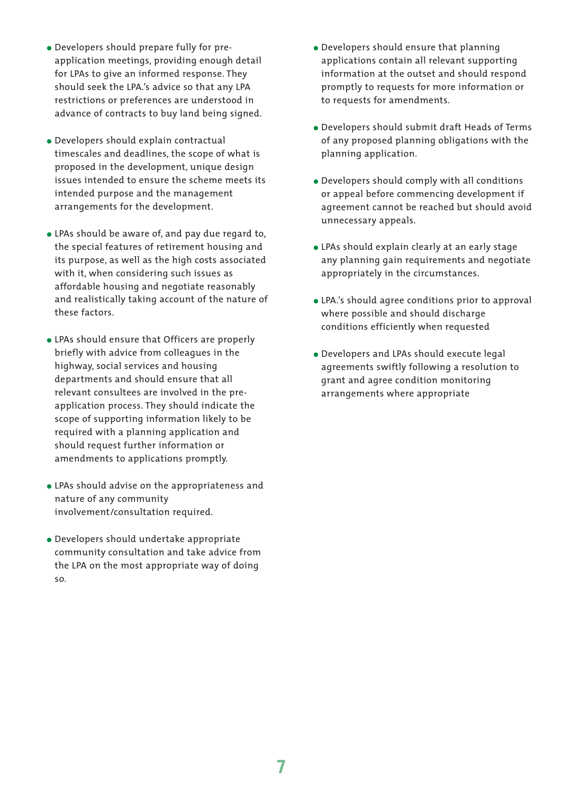- Developers should prepare fully for preapplication meetings, providing enough detail for LPAs to give an informed response. They should seek the LPA.'s advice so that any LPA restrictions or preferences are understood in advance of contracts to buy land being signed.
- Developers should explain contractual timescales and deadlines, the scope of what is proposed in the development, unique design issues intended to ensure the scheme meets its intended purpose and the management arrangements for the development.
- LPAs should be aware of, and pay due regard to, the special features of retirement housing and its purpose, as well as the high costs associated with it, when considering such issues as affordable housing and negotiate reasonably and realistically taking account of the nature of these factors.
- LPAs should ensure that Officers are properly briefly with advice from colleagues in the highway, social services and housing departments and should ensure that all relevant consultees are involved in the preapplication process. They should indicate the scope of supporting information likely to be required with a planning application and should request further information or amendments to applications promptly.
- LPAs should advise on the appropriateness and nature of any community involvement/consultation required.
- Developers should undertake appropriate community consultation and take advice from the LPA on the most appropriate way of doing so.
- Developers should ensure that planning applications contain all relevant supporting information at the outset and should respond promptly to requests for more information or to requests for amendments.
- Developers should submit draft Heads of Terms of any proposed planning obligations with the planning application.
- Developers should comply with all conditions or appeal before commencing development if agreement cannot be reached but should avoid unnecessary appeals.
- LPAs should explain clearly at an early stage any planning gain requirements and negotiate appropriately in the circumstances.
- LPA.'s should agree conditions prior to approval where possible and should discharge conditions efficiently when requested
- Developers and LPAs should execute legal agreements swiftly following a resolution to grant and agree condition monitoring arrangements where appropriate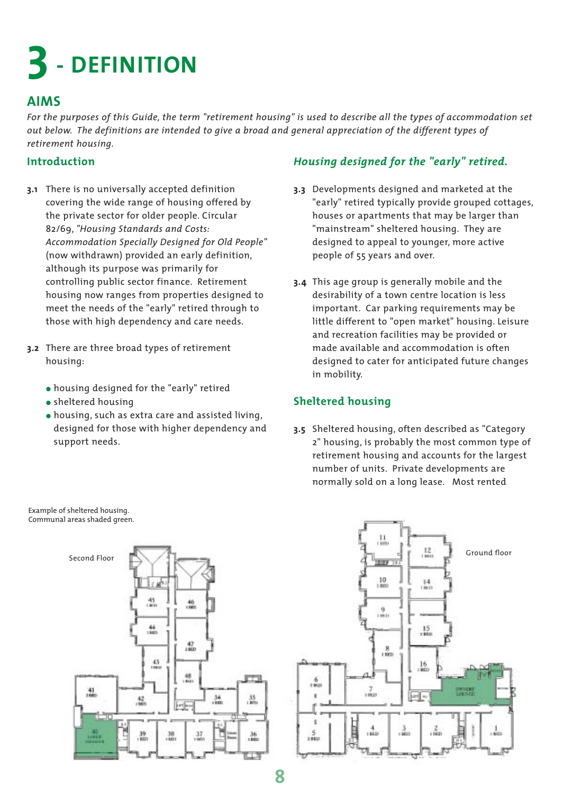# **3 - DEFINITION**

# **AIMS**

*For the purposes of this Guide, the term "retirement housing" is used to describe all the types of accommodation set out below. The definitions are intended to give a broad and general appreciation of the different types of retirement housing.*

## **Introduction**

- **3.1** There is no universally accepted definition covering the wide range of housing offered by the private sector for older people. Circular 82/69, *"Housing Standards and Costs: Accommodation Specially Designed for Old People"* (now withdrawn) provided an early definition, although its purpose was primarily for controlling public sector finance. Retirement housing now ranges from properties designed to meet the needs of the "early" retired through to those with high dependency and care needs.
- **3.2** There are three broad types of retirement housing:
	- housing designed for the "early" retired
	- sheltered housing
	- housing, such as extra care and assisted living, designed for those with higher dependency and support needs.

# *Housing designed for the "early" retired.*

- **3.3** Developments designed and marketed at the "early" retired typically provide grouped cottages, houses or apartments that may be larger than "mainstream" sheltered housing. They are designed to appeal to younger, more active people of 55 years and over.
- **3.4** This age group is generally mobile and the desirability of a town centre location is less important. Car parking requirements may be little different to "open market" housing. Leisure and recreation facilities may be provided or made available and accommodation is often designed to cater for anticipated future changes in mobility.

# **Sheltered housing**

**3.5** Sheltered housing, often described as "Category 2" housing, is probably the most common type of retirement housing and accounts for the largest number of units. Private developments are normally sold on a long lease. Most rented



Example of sheltered housing. Communal areas shaded green.

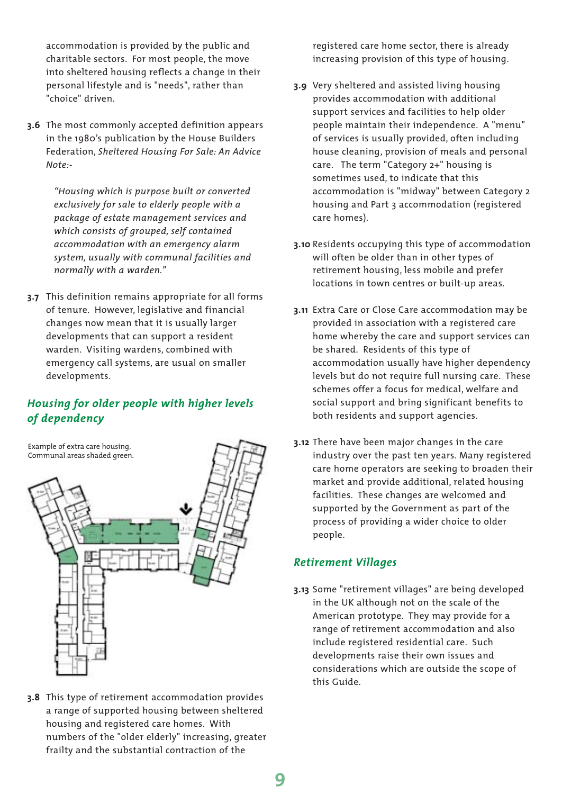accommodation is provided by the public and charitable sectors. For most people, the move into sheltered housing reflects a change in their personal lifestyle and is "needs", rather than "choice" driven.

**3.6** The most commonly accepted definition appears in the 1980's publication by the House Builders Federation, *Sheltered Housing For Sale: An Advice Note:-*

> *"Housing which is purpose built or converted exclusively for sale to elderly people with a package of estate management services and which consists of grouped, self contained accommodation with an emergency alarm system, usually with communal facilities and normally with a warden."*

**3.7** This definition remains appropriate for all forms of tenure. However, legislative and financial changes now mean that it is usually larger developments that can support a resident warden. Visiting wardens, combined with emergency call systems, are usual on smaller developments.

# *Housing for older people with higher levels of dependency*



**3.8** This type of retirement accommodation provides a range of supported housing between sheltered housing and registered care homes. With numbers of the "older elderly" increasing, greater frailty and the substantial contraction of the

registered care home sector, there is already increasing provision of this type of housing.

- **3.9** Very sheltered and assisted living housing provides accommodation with additional support services and facilities to help older people maintain their independence. A "menu" of services is usually provided, often including house cleaning, provision of meals and personal care. The term "Category 2+" housing is sometimes used, to indicate that this accommodation is "midway" between Category 2 housing and Part 3 accommodation (registered care homes).
- **3.10** Residents occupying this type of accommodation will often be older than in other types of retirement housing, less mobile and prefer locations in town centres or built-up areas.
- **3.11** Extra Care or Close Care accommodation may be provided in association with a registered care home whereby the care and support services can be shared. Residents of this type of accommodation usually have higher dependency levels but do not require full nursing care. These schemes offer a focus for medical, welfare and social support and bring significant benefits to both residents and support agencies.
- **3.12** There have been major changes in the care industry over the past ten years. Many registered care home operators are seeking to broaden their market and provide additional, related housing facilities. These changes are welcomed and supported by the Government as part of the process of providing a wider choice to older people.

# *Retirement Villages*

**3.13** Some "retirement villages" are being developed in the UK although not on the scale of the American prototype. They may provide for a range of retirement accommodation and also include registered residential care. Such developments raise their own issues and considerations which are outside the scope of this Guide.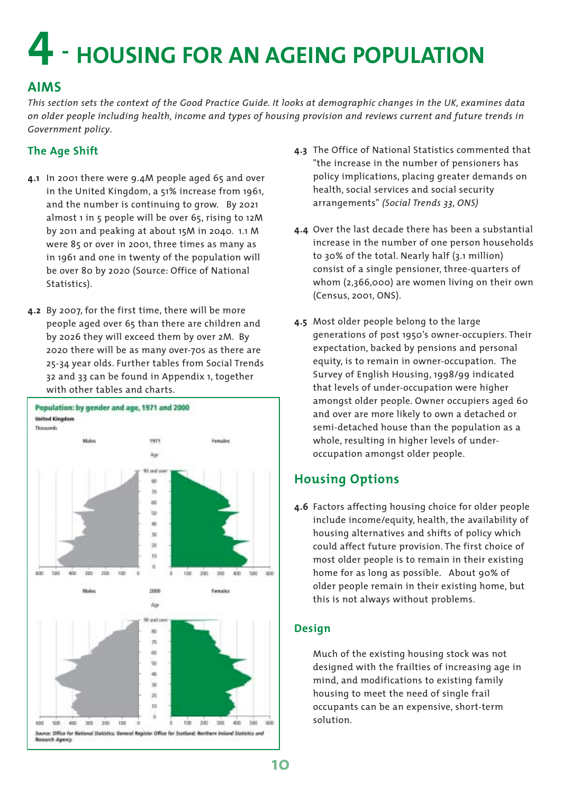# **4 - HOUSING FOR AN AGEING POPULATION**

# **AIMS**

*This section sets the context of the Good Practice Guide. It looks at demographic changes in the UK, examines data on older people including health, income and types of housing provision and reviews current and future trends in Government policy*.

# **The Age Shift**

- **4.1** In 2001 there were 9.4M people aged 65 and over in the United Kingdom, a 51% increase from 1961, and the number is continuing to grow. By 2021 almost 1 in 5 people will be over 65, rising to 12M by 2011 and peaking at about 15M in 2040. 1.1 M were 85 or over in 2001, three times as many as in 1961 and one in twenty of the population will be over 80 by 2020 (Source: Office of National Statistics).
- **4.2** By 2007, for the first time, there will be more people aged over 65 than there are children and by 2026 they will exceed them by over 2M. By 2020 there will be as many over-70s as there are 25-34 year olds. Further tables from Social Trends 32 and 33 can be found in Appendix 1, together with other tables and charts.



- **4.3** The Office of National Statistics commented that "the increase in the number of pensioners has policy implications, placing greater demands on health, social services and social security arrangements" *(Social Trends 33, ONS)*
- **4.4** Over the last decade there has been a substantial increase in the number of one person households to 30% of the total. Nearly half (3.1 million) consist of a single pensioner, three-quarters of whom (2,366,000) are women living on their own (Census, 2001, ONS).
- **4.5** Most older people belong to the large generations of post 1950's owner-occupiers. Their expectation, backed by pensions and personal equity, is to remain in owner-occupation. The Survey of English Housing, 1998/99 indicated that levels of under-occupation were higher amongst older people. Owner occupiers aged 60 and over are more likely to own a detached or semi-detached house than the population as a whole, resulting in higher levels of underoccupation amongst older people.

# **Housing Options**

**4.6** Factors affecting housing choice for older people include income/equity, health, the availability of housing alternatives and shifts of policy which could affect future provision. The first choice of most older people is to remain in their existing home for as long as possible. About 90% of older people remain in their existing home, but this is not always without problems.

# **Design**

Much of the existing housing stock was not designed with the frailties of increasing age in mind, and modifications to existing family housing to meet the need of single frail occupants can be an expensive, short-term solution.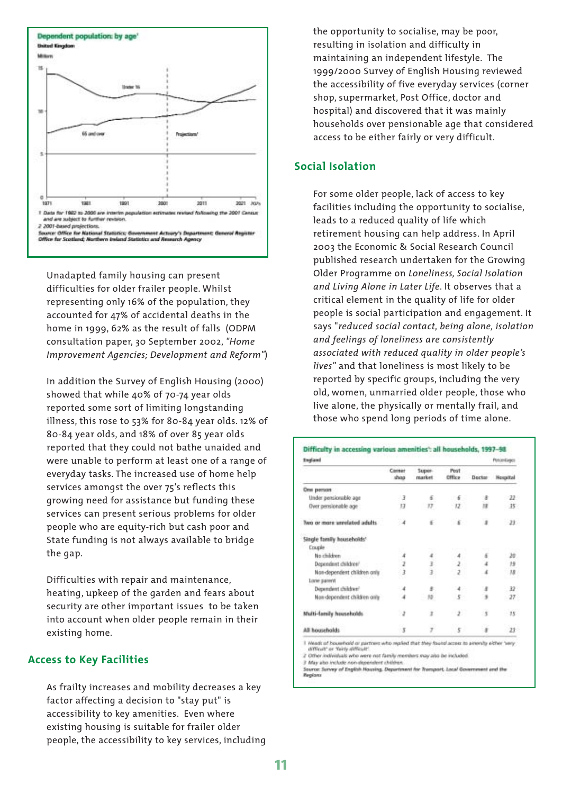

Unadapted family housing can present difficulties for older frailer people. Whilst representing only 16% of the population, they accounted for 47% of accidental deaths in the home in 1999, 62% as the result of falls (ODPM consultation paper, 30 September 2002, *"Home Improvement Agencies; Development and Reform"*)

In addition the Survey of English Housing (2000) showed that while 40% of 70-74 year olds reported some sort of limiting longstanding illness, this rose to 53% for 80-84 year olds. 12% of 80-84 year olds, and 18% of over 85 year olds reported that they could not bathe unaided and were unable to perform at least one of a range of everyday tasks. The increased use of home help services amongst the over 75's reflects this growing need for assistance but funding these services can present serious problems for older people who are equity-rich but cash poor and State funding is not always available to bridge the gap.

Difficulties with repair and maintenance, heating, upkeep of the garden and fears about security are other important issues to be taken into account when older people remain in their existing home.

#### **Access to Key Facilities**

As frailty increases and mobility decreases a key factor affecting a decision to "stay put" is accessibility to key amenities. Even where existing housing is suitable for frailer older people, the accessibility to key services, including the opportunity to socialise, may be poor, resulting in isolation and difficulty in maintaining an independent lifestyle. The 1999/2000 Survey of English Housing reviewed the accessibility of five everyday services (corner shop, supermarket, Post Office, doctor and hospital) and discovered that it was mainly households over pensionable age that considered access to be either fairly or very difficult.

#### **Social Isolation**

For some older people, lack of access to key facilities including the opportunity to socialise, leads to a reduced quality of life which retirement housing can help address. In April 2003 the Economic & Social Research Council published research undertaken for the Growing Older Programme on *Loneliness, Social Isolation and Living Alone in Later Life*. It observes that a critical element in the quality of life for older people is social participation and engagement. It says "*reduced social contact, being alone, isolation and feelings of loneliness are consistently associated with reduced quality in older people's lives"* and that loneliness is most likely to be reported by specific groups, including the very old, women, unmarried older people, those who live alone, the physically or mentally frail, and those who spend long periods of time alone.

| <b>England</b>               |                |                      |                |         | Poncentiages    |
|------------------------------|----------------|----------------------|----------------|---------|-----------------|
|                              | Comet<br>shina | Super-<br>market     | Post<br>Office | Dectar: | Nespital        |
| One person                   |                |                      |                |         |                 |
| Under pensionable age        | - 3            | 6                    | 6.             |         | $-22$           |
| Over pensionable age :       | 33             | 17                   | $-12$          | $_{18}$ | 15 <sup>2</sup> |
| Iwo or more unrelated adults | ंड             | £                    | $-1$           | ä       | 22              |
| Single family households'    |                |                      |                |         |                 |
| Couple                       |                |                      |                |         |                 |
| No children:                 |                |                      |                |         | 39              |
| Dependent children/          | $\frac{4}{2}$  | ì                    |                |         | 19              |
| Non-dependent children anly  | j              | $\mathbf{J}_{\cdot}$ |                |         | M               |
| Lone parent                  |                |                      |                |         |                 |
| Dependent children?          |                | s                    |                |         | $\mathbf{B}$    |
| Non-dependent children only  |                | 壕                    | 5.             |         | 27              |
| Multi-family households      | -2             | ı                    | $\mathcal{F}$  | 1st     | 15              |
| All households               | r.<br>-5       | $\sim$<br>y          | 5              | 9       | $23 -$          |

with all boundbold at partners who regised that they found access to alrendly either 'very difficult' or 'fairly difficult

2 Other individuals who were not family members may also be included.

3 May also include non-dependent children.<br>Source: Survey of English Housing, Department for Tramport, Local Government and the<br>Regions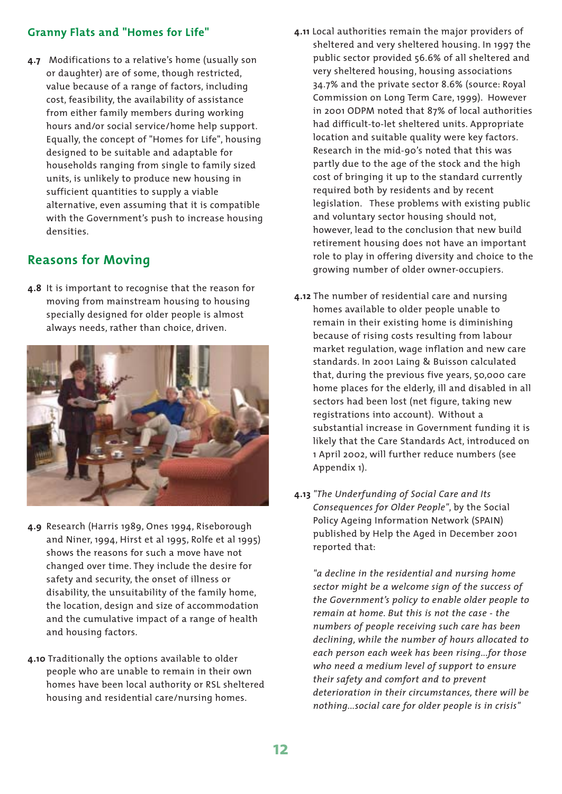# **Granny Flats and "Homes for Life"**

**4.7** Modifications to a relative's home (usually son or daughter) are of some, though restricted, value because of a range of factors, including cost, feasibility, the availability of assistance from either family members during working hours and/or social service/home help support. Equally, the concept of "Homes for Life", housing designed to be suitable and adaptable for households ranging from single to family sized units, is unlikely to produce new housing in sufficient quantities to supply a viable alternative, even assuming that it is compatible with the Government's push to increase housing densities.

# **Reasons for Moving**

**4.8** It is important to recognise that the reason for moving from mainstream housing to housing specially designed for older people is almost always needs, rather than choice, driven.



- **4.9** Research (Harris 1989, Ones 1994, Riseborough and Niner, 1994, Hirst et al 1995, Rolfe et al 1995) shows the reasons for such a move have not changed over time. They include the desire for safety and security, the onset of illness or disability, the unsuitability of the family home, the location, design and size of accommodation and the cumulative impact of a range of health and housing factors.
- **4.10** Traditionally the options available to older people who are unable to remain in their own homes have been local authority or RSL sheltered housing and residential care/nursing homes.
- **4.11** Local authorities remain the major providers of sheltered and very sheltered housing. In 1997 the public sector provided 56.6% of all sheltered and very sheltered housing, housing associations 34.7% and the private sector 8.6% (source: Royal Commission on Long Term Care, 1999). However in 2001 ODPM noted that 87% of local authorities had difficult-to-let sheltered units. Appropriate location and suitable quality were key factors. Research in the mid-90's noted that this was partly due to the age of the stock and the high cost of bringing it up to the standard currently required both by residents and by recent legislation. These problems with existing public and voluntary sector housing should not, however, lead to the conclusion that new build retirement housing does not have an important role to play in offering diversity and choice to the growing number of older owner-occupiers.
- **4.12** The number of residential care and nursing homes available to older people unable to remain in their existing home is diminishing because of rising costs resulting from labour market regulation, wage inflation and new care standards. In 2001 Laing & Buisson calculated that, during the previous five years, 50,000 care home places for the elderly, ill and disabled in all sectors had been lost (net figure, taking new registrations into account). Without a substantial increase in Government funding it is likely that the Care Standards Act, introduced on 1 April 2002, will further reduce numbers (see Appendix 1).
- **4.13** *"The Underfunding of Social Care and Its Consequences for Older People"*, by the Social Policy Ageing Information Network (SPAIN) published by Help the Aged in December 2001 reported that:

*"a decline in the residential and nursing home sector might be a welcome sign of the success of the Government's policy to enable older people to remain at home. But this is not the case - the numbers of people receiving such care has been declining, while the number of hours allocated to each person each week has been rising...for those who need a medium level of support to ensure their safety and comfort and to prevent deterioration in their circumstances, there will be nothing...social care for older people is in crisis"*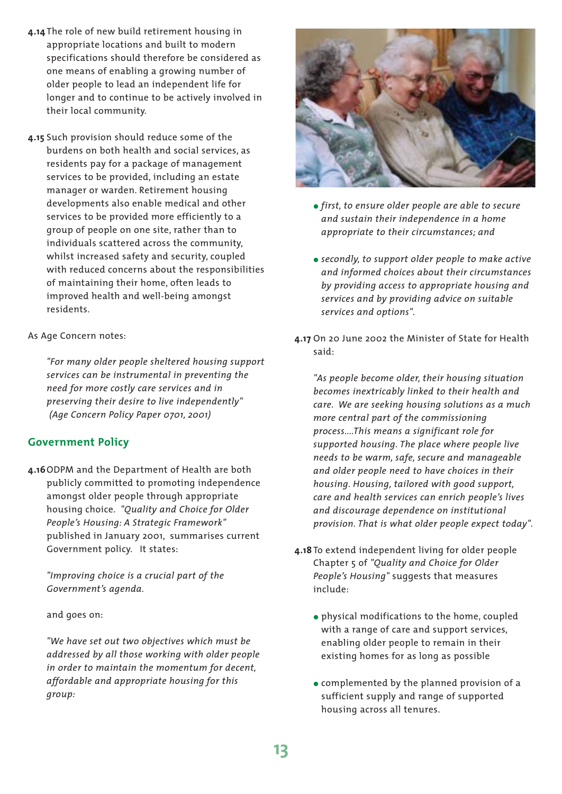- **4.14** The role of new build retirement housing in appropriate locations and built to modern specifications should therefore be considered as one means of enabling a growing number of older people to lead an independent life for longer and to continue to be actively involved in their local community.
- **4.15** Such provision should reduce some of the burdens on both health and social services, as residents pay for a package of management services to be provided, including an estate manager or warden. Retirement housing developments also enable medical and other services to be provided more efficiently to a group of people on one site, rather than to individuals scattered across the community, whilst increased safety and security, coupled with reduced concerns about the responsibilities of maintaining their home, often leads to improved health and well-being amongst residents.

As Age Concern notes:

*"For many older people sheltered housing support services can be instrumental in preventing the need for more costly care services and in preserving their desire to live independently" (Age Concern Policy Paper 0701, 2001)*

# **Government Policy**

**4.16**ODPM and the Department of Health are both publicly committed to promoting independence amongst older people through appropriate housing choice. *"Quality and Choice for Older People's Housing: A Strategic Framework"* published in January 2001, summarises current Government policy. It states:

*"Improving choice is a crucial part of the Government's agenda.*

and goes on:

*"We have set out two objectives which must be addressed by all those working with older people in order to maintain the momentum for decent, affordable and appropriate housing for this group:*



- *first, to ensure older people are able to secure and sustain their independence in a home appropriate to their circumstances; and*
- *secondly, to support older people to make active and informed choices about their circumstances by providing access to appropriate housing and services and by providing advice on suitable services and options".*
- **4.17** On 20 June 2002 the Minister of State for Health said:

*"As people become older, their housing situation becomes inextricably linked to their health and care. We are seeking housing solutions as a much more central part of the commissioning process....This means a significant role for supported housing. The place where people live needs to be warm, safe, secure and manageable and older people need to have choices in their housing. Housing, tailored with good support, care and health services can enrich people's lives and discourage dependence on institutional provision. That is what older people expect today".*

- **4.18** To extend independent living for older people Chapter 5 of *"Quality and Choice for Older People's Housing"* suggests that measures include:
	- physical modifications to the home, coupled with a range of care and support services, enabling older people to remain in their existing homes for as long as possible
	- complemented by the planned provision of a sufficient supply and range of supported housing across all tenures.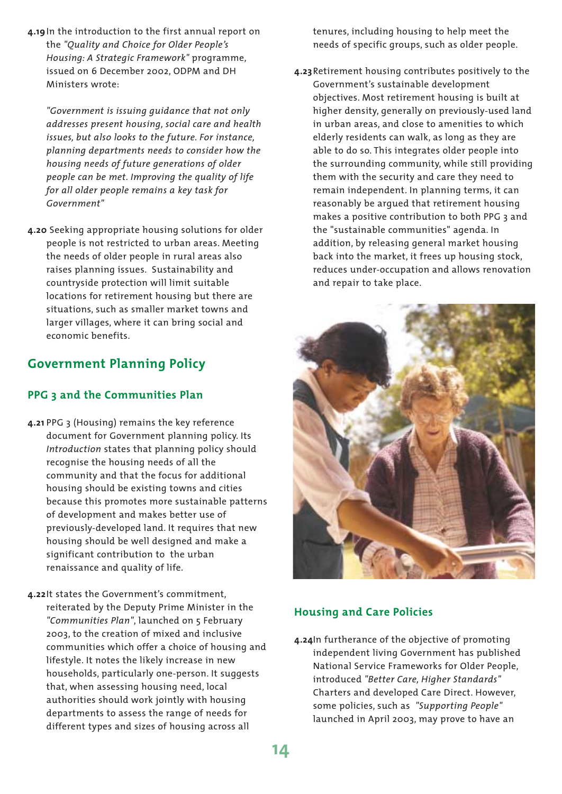**4.19**In the introduction to the first annual report on the *"Quality and Choice for Older People's Housing: A Strategic Framework"* programme, issued on 6 December 2002, ODPM and DH Ministers wrote:

*"Government is issuing guidance that not only addresses present housing, social care and health issues, but also looks to the future. For instance, planning departments needs to consider how the housing needs of future generations of older people can be met. Improving the quality of life for all older people remains a key task for Government"* 

**4.20** Seeking appropriate housing solutions for older people is not restricted to urban areas. Meeting the needs of older people in rural areas also raises planning issues. Sustainability and countryside protection will limit suitable locations for retirement housing but there are situations, such as smaller market towns and larger villages, where it can bring social and economic benefits.

# **Government Planning Policy**

# **PPG 3 and the Communities Plan**

- **4.21** PPG 3 (Housing) remains the key reference document for Government planning policy. Its *Introduction* states that planning policy should recognise the housing needs of all the community and that the focus for additional housing should be existing towns and cities because this promotes more sustainable patterns of development and makes better use of previously-developed land. It requires that new housing should be well designed and make a significant contribution to the urban renaissance and quality of life.
- **4.22**It states the Government's commitment, reiterated by the Deputy Prime Minister in the *"Communities Plan"*, launched on 5 February 2003, to the creation of mixed and inclusive communities which offer a choice of housing and lifestyle. It notes the likely increase in new households, particularly one-person. It suggests that, when assessing housing need, local authorities should work jointly with housing departments to assess the range of needs for different types and sizes of housing across all

tenures, including housing to help meet the needs of specific groups, such as older people.

**4.23**Retirement housing contributes positively to the Government's sustainable development objectives. Most retirement housing is built at higher density, generally on previously-used land in urban areas, and close to amenities to which elderly residents can walk, as long as they are able to do so. This integrates older people into the surrounding community, while still providing them with the security and care they need to remain independent. In planning terms, it can reasonably be argued that retirement housing makes a positive contribution to both PPG 3 and the "sustainable communities" agenda. In addition, by releasing general market housing back into the market, it frees up housing stock, reduces under-occupation and allows renovation and repair to take place.



# **Housing and Care Policies**

**4.24**In furtherance of the objective of promoting independent living Government has published National Service Frameworks for Older People, introduced *"Better Care, Higher Standards"* Charters and developed Care Direct. However, some policies, such as *"Supporting People"* launched in April 2003, may prove to have an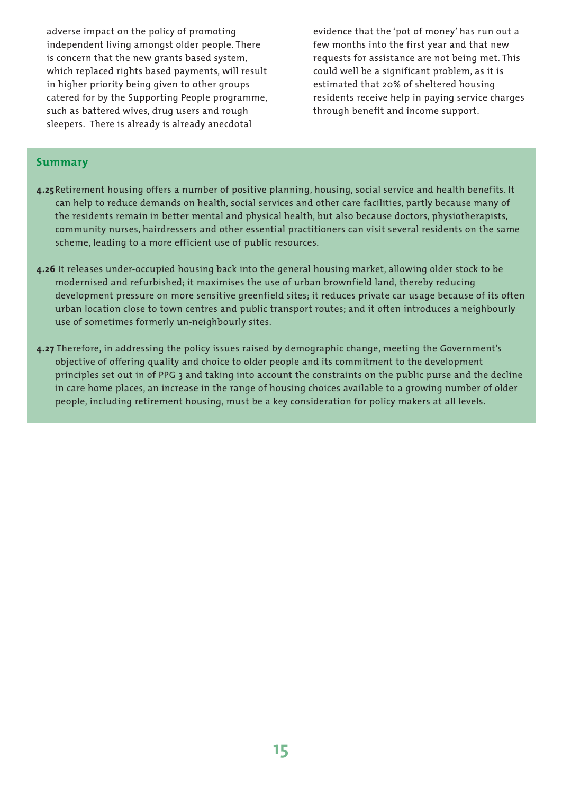adverse impact on the policy of promoting independent living amongst older people. There is concern that the new grants based system, which replaced rights based payments, will result in higher priority being given to other groups catered for by the Supporting People programme, such as battered wives, drug users and rough sleepers. There is already is already anecdotal

evidence that the 'pot of money' has run out a few months into the first year and that new requests for assistance are not being met. This could well be a significant problem, as it is estimated that 20% of sheltered housing residents receive help in paying service charges through benefit and income support.

#### **Summary**

- **4.25**Retirement housing offers a number of positive planning, housing, social service and health benefits. It can help to reduce demands on health, social services and other care facilities, partly because many of the residents remain in better mental and physical health, but also because doctors, physiotherapists, community nurses, hairdressers and other essential practitioners can visit several residents on the same scheme, leading to a more efficient use of public resources.
- **4.26** It releases under-occupied housing back into the general housing market, allowing older stock to be modernised and refurbished; it maximises the use of urban brownfield land, thereby reducing development pressure on more sensitive greenfield sites; it reduces private car usage because of its often urban location close to town centres and public transport routes; and it often introduces a neighbourly use of sometimes formerly un-neighbourly sites.
- **4.27** Therefore, in addressing the policy issues raised by demographic change, meeting the Government's objective of offering quality and choice to older people and its commitment to the development principles set out in of PPG 3 and taking into account the constraints on the public purse and the decline in care home places, an increase in the range of housing choices available to a growing number of older people, including retirement housing, must be a key consideration for policy makers at all levels.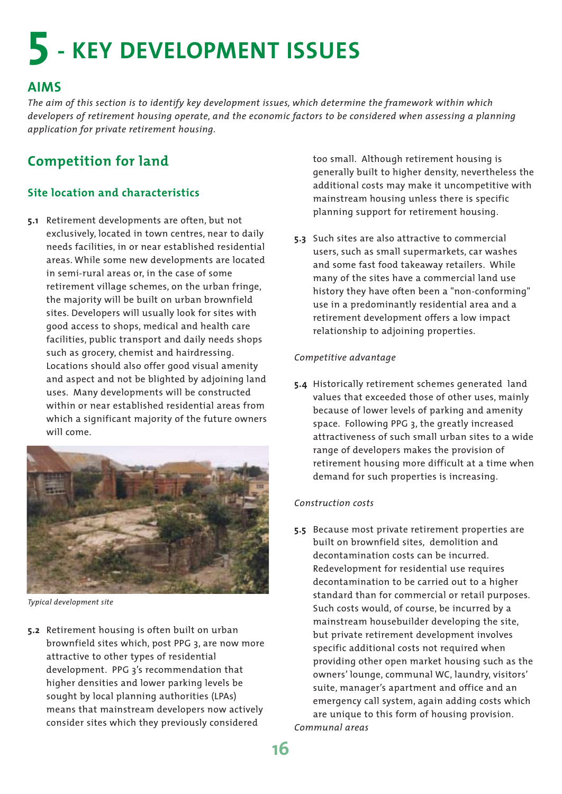# **5 - KEY DEVELOPMENT ISSUES**

# **AIMS**

*The aim of this section is to identify key development issues, which determine the framework within which developers of retirement housing operate, and the economic factors to be considered when assessing a planning application for private retirement housing.*

# **Competition for land**

# **Site location and characteristics**

**5.1** Retirement developments are often, but not exclusively, located in town centres, near to daily needs facilities, in or near established residential areas. While some new developments are located in semi-rural areas or, in the case of some retirement village schemes, on the urban fringe, the majority will be built on urban brownfield sites. Developers will usually look for sites with good access to shops, medical and health care facilities, public transport and daily needs shops such as grocery, chemist and hairdressing. Locations should also offer good visual amenity and aspect and not be blighted by adjoining land uses. Many developments will be constructed within or near established residential areas from which a significant majority of the future owners will come.



*Typical development site*

**5.2** Retirement housing is often built on urban brownfield sites which, post PPG 3, are now more attractive to other types of residential development. PPG 3's recommendation that higher densities and lower parking levels be sought by local planning authorities (LPAs) means that mainstream developers now actively consider sites which they previously considered

too small. Although retirement housing is generally built to higher density, nevertheless the additional costs may make it uncompetitive with mainstream housing unless there is specific planning support for retirement housing.

**5.3** Such sites are also attractive to commercial users, such as small supermarkets, car washes and some fast food takeaway retailers. While many of the sites have a commercial land use history they have often been a "non-conforming" use in a predominantly residential area and a retirement development offers a low impact relationship to adjoining properties.

#### *Competitive advantage*

**5.4** Historically retirement schemes generated land values that exceeded those of other uses, mainly because of lower levels of parking and amenity space. Following PPG 3, the greatly increased attractiveness of such small urban sites to a wide range of developers makes the provision of retirement housing more difficult at a time when demand for such properties is increasing.

#### *Construction costs*

**5.5** Because most private retirement properties are built on brownfield sites, demolition and decontamination costs can be incurred. Redevelopment for residential use requires decontamination to be carried out to a higher standard than for commercial or retail purposes. Such costs would, of course, be incurred by a mainstream housebuilder developing the site, but private retirement development involves specific additional costs not required when providing other open market housing such as the owners' lounge, communal WC, laundry, visitors' suite, manager's apartment and office and an emergency call system, again adding costs which are unique to this form of housing provision. *Communal areas*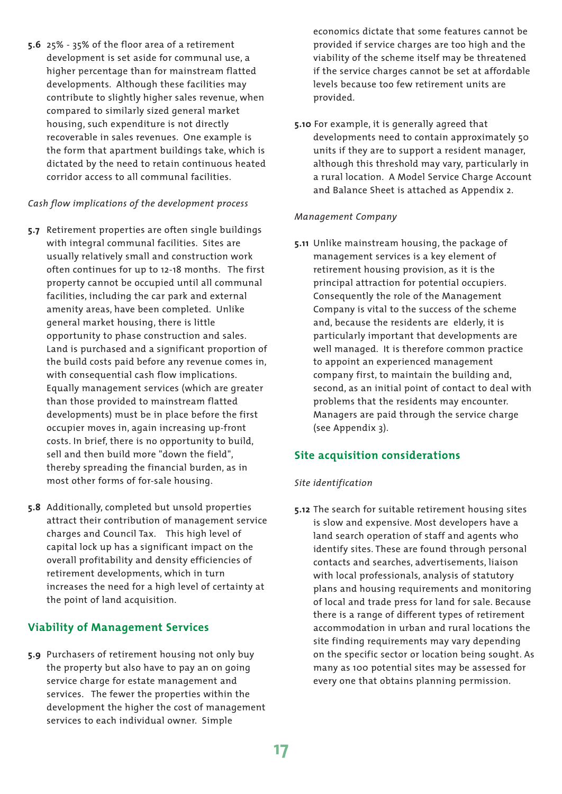**5.6** 25% - 35% of the floor area of a retirement development is set aside for communal use, a higher percentage than for mainstream flatted developments. Although these facilities may contribute to slightly higher sales revenue, when compared to similarly sized general market housing, such expenditure is not directly recoverable in sales revenues. One example is the form that apartment buildings take, which is dictated by the need to retain continuous heated corridor access to all communal facilities.

#### *Cash flow implications of the development process*

- **5.7** Retirement properties are often single buildings with integral communal facilities. Sites are usually relatively small and construction work often continues for up to 12-18 months. The first property cannot be occupied until all communal facilities, including the car park and external amenity areas, have been completed. Unlike general market housing, there is little opportunity to phase construction and sales. Land is purchased and a significant proportion of the build costs paid before any revenue comes in, with consequential cash flow implications. Equally management services (which are greater than those provided to mainstream flatted developments) must be in place before the first occupier moves in, again increasing up-front costs. In brief, there is no opportunity to build, sell and then build more "down the field", thereby spreading the financial burden, as in most other forms of for-sale housing.
- **5.8** Additionally, completed but unsold properties attract their contribution of management service charges and Council Tax. This high level of capital lock up has a significant impact on the overall profitability and density efficiencies of retirement developments, which in turn increases the need for a high level of certainty at the point of land acquisition.

# **Viability of Management Services**

**5.9** Purchasers of retirement housing not only buy the property but also have to pay an on going service charge for estate management and services. The fewer the properties within the development the higher the cost of management services to each individual owner. Simple

economics dictate that some features cannot be provided if service charges are too high and the viability of the scheme itself may be threatened if the service charges cannot be set at affordable levels because too few retirement units are provided.

**5.10** For example, it is generally agreed that developments need to contain approximately 50 units if they are to support a resident manager, although this threshold may vary, particularly in a rural location. A Model Service Charge Account and Balance Sheet is attached as Appendix 2.

#### *Management Company*

**5.11** Unlike mainstream housing, the package of management services is a key element of retirement housing provision, as it is the principal attraction for potential occupiers. Consequently the role of the Management Company is vital to the success of the scheme and, because the residents are elderly, it is particularly important that developments are well managed. It is therefore common practice to appoint an experienced management company first, to maintain the building and, second, as an initial point of contact to deal with problems that the residents may encounter. Managers are paid through the service charge (see Appendix 3).

## **Site acquisition considerations**

#### *Site identification*

**5.12** The search for suitable retirement housing sites is slow and expensive. Most developers have a land search operation of staff and agents who identify sites. These are found through personal contacts and searches, advertisements, liaison with local professionals, analysis of statutory plans and housing requirements and monitoring of local and trade press for land for sale. Because there is a range of different types of retirement accommodation in urban and rural locations the site finding requirements may vary depending on the specific sector or location being sought. As many as 100 potential sites may be assessed for every one that obtains planning permission.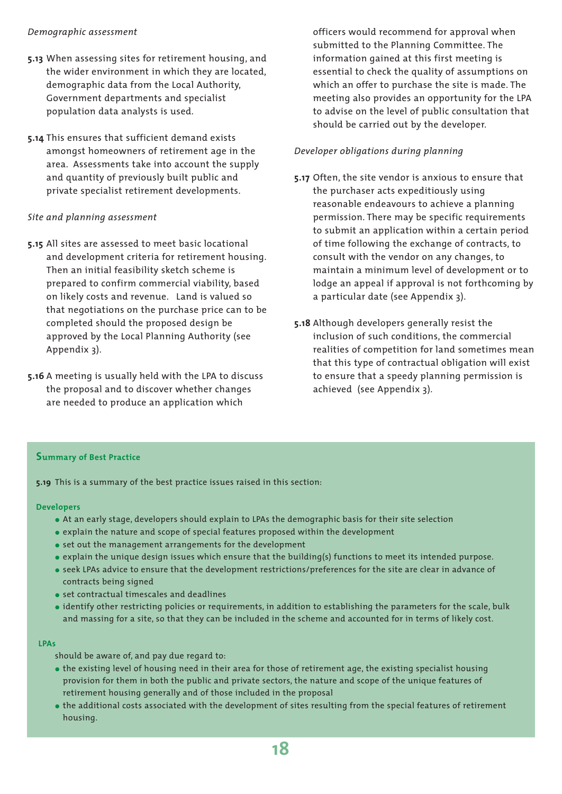#### *Demographic assessment*

- **5.13** When assessing sites for retirement housing, and the wider environment in which they are located, demographic data from the Local Authority, Government departments and specialist population data analysts is used.
- **5.14** This ensures that sufficient demand exists amongst homeowners of retirement age in the area. Assessments take into account the supply and quantity of previously built public and private specialist retirement developments.

#### *Site and planning assessment*

- **5.15** All sites are assessed to meet basic locational and development criteria for retirement housing. Then an initial feasibility sketch scheme is prepared to confirm commercial viability, based on likely costs and revenue. Land is valued so that negotiations on the purchase price can to be completed should the proposed design be approved by the Local Planning Authority (see Appendix 3).
- **5.16** A meeting is usually held with the LPA to discuss the proposal and to discover whether changes are needed to produce an application which

officers would recommend for approval when submitted to the Planning Committee. The information gained at this first meeting is essential to check the quality of assumptions on which an offer to purchase the site is made. The meeting also provides an opportunity for the LPA to advise on the level of public consultation that should be carried out by the developer.

#### *Developer obligations during planning*

- **5.17** Often, the site vendor is anxious to ensure that the purchaser acts expeditiously using reasonable endeavours to achieve a planning permission. There may be specific requirements to submit an application within a certain period of time following the exchange of contracts, to consult with the vendor on any changes, to maintain a minimum level of development or to lodge an appeal if approval is not forthcoming by a particular date (see Appendix 3).
- **5.18** Although developers generally resist the inclusion of such conditions, the commercial realities of competition for land sometimes mean that this type of contractual obligation will exist to ensure that a speedy planning permission is achieved (see Appendix 3).

#### **Summary of Best Practice**

**5.19** This is a summary of the best practice issues raised in this section:

#### **Developers**

- At an early stage, developers should explain to LPAs the demographic basis for their site selection
- explain the nature and scope of special features proposed within the development
- set out the management arrangements for the development
- explain the unique design issues which ensure that the building(s) functions to meet its intended purpose.
- seek LPAs advice to ensure that the development restrictions/preferences for the site are clear in advance of contracts being signed
- set contractual timescales and deadlines
- identify other restricting policies or requirements, in addition to establishing the parameters for the scale, bulk and massing for a site, so that they can be included in the scheme and accounted for in terms of likely cost.

#### **LPAs**

should be aware of, and pay due regard to:

- the existing level of housing need in their area for those of retirement age, the existing specialist housing provision for them in both the public and private sectors, the nature and scope of the unique features of retirement housing generally and of those included in the proposal
- the additional costs associated with the development of sites resulting from the special features of retirement housing.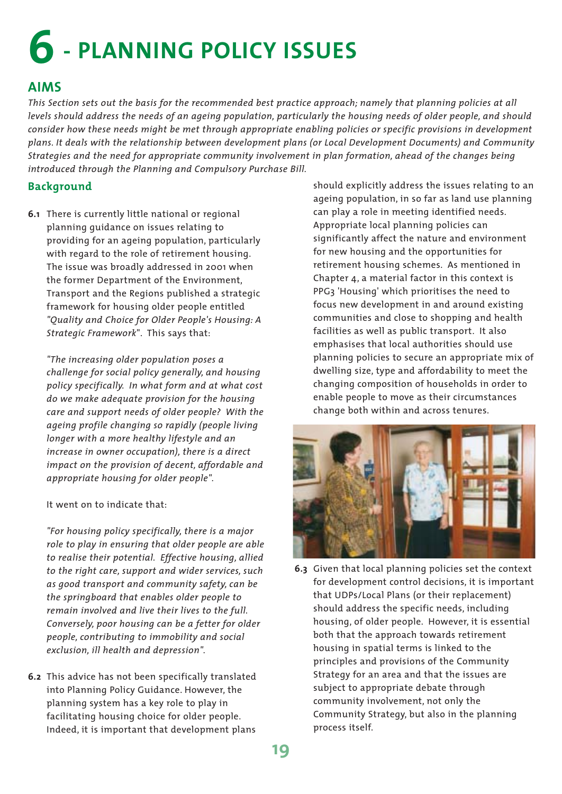# **6 - PLANNING POLICY ISSUES**

# **AIMS**

*This Section sets out the basis for the recommended best practice approach; namely that planning policies at all levels should address the needs of an ageing population, particularly the housing needs of older people, and should consider how these needs might be met through appropriate enabling policies or specific provisions in development plans. It deals with the relationship between development plans (or Local Development Documents) and Community Strategies and the need for appropriate community involvement in plan formation, ahead of the changes being introduced through the Planning and Compulsory Purchase Bill.*

## **Background**

**6.1** There is currently little national or regional planning guidance on issues relating to providing for an ageing population, particularly with regard to the role of retirement housing. The issue was broadly addressed in 2001 when the former Department of the Environment, Transport and the Regions published a strategic framework for housing older people entitled *"Quality and Choice for Older People's Housing: A Strategic Framework*". This says that:

*"The increasing older population poses a challenge for social policy generally, and housing policy specifically. In what form and at what cost do we make adequate provision for the housing care and support needs of older people? With the ageing profile changing so rapidly (people living longer with a more healthy lifestyle and an increase in owner occupation), there is a direct impact on the provision of decent, affordable and appropriate housing for older people".*

It went on to indicate that:

*"For housing policy specifically, there is a major role to play in ensuring that older people are able to realise their potential. Effective housing, allied to the right care, support and wider services, such as good transport and community safety, can be the springboard that enables older people to remain involved and live their lives to the full. Conversely, poor housing can be a fetter for older people, contributing to immobility and social exclusion, ill health and depression".*

**6.2** This advice has not been specifically translated into Planning Policy Guidance. However, the planning system has a key role to play in facilitating housing choice for older people. Indeed, it is important that development plans

should explicitly address the issues relating to an ageing population, in so far as land use planning can play a role in meeting identified needs. Appropriate local planning policies can significantly affect the nature and environment for new housing and the opportunities for retirement housing schemes. As mentioned in Chapter 4, a material factor in this context is PPG3 'Housing' which prioritises the need to focus new development in and around existing communities and close to shopping and health facilities as well as public transport. It also emphasises that local authorities should use planning policies to secure an appropriate mix of dwelling size, type and affordability to meet the changing composition of households in order to enable people to move as their circumstances change both within and across tenures.



**6.3** Given that local planning policies set the context for development control decisions, it is important that UDPs/Local Plans (or their replacement) should address the specific needs, including housing, of older people. However, it is essential both that the approach towards retirement housing in spatial terms is linked to the principles and provisions of the Community Strategy for an area and that the issues are subject to appropriate debate through community involvement, not only the Community Strategy, but also in the planning process itself.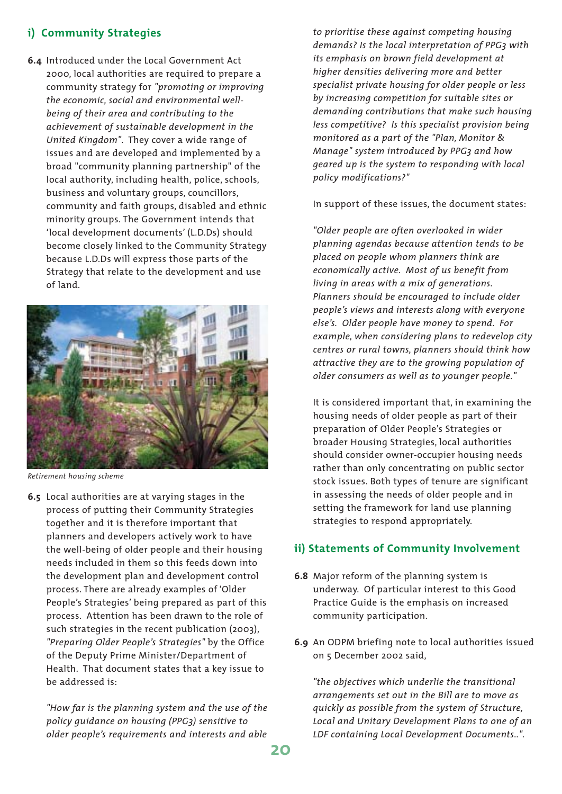# **i) Community Strategies**

**6.4** Introduced under the Local Government Act 2000, local authorities are required to prepare a community strategy for *"promoting or improving the economic, social and environmental wellbeing of their area and contributing to the achievement of sustainable development in the United Kingdom"*. They cover a wide range of issues and are developed and implemented by a broad "community planning partnership" of the local authority, including health, police, schools, business and voluntary groups, councillors, community and faith groups, disabled and ethnic minority groups. The Government intends that 'local development documents' (L.D.Ds) should become closely linked to the Community Strategy because L.D.Ds will express those parts of the Strategy that relate to the development and use of land.



*Retirement housing scheme*

**6.5** Local authorities are at varying stages in the process of putting their Community Strategies together and it is therefore important that planners and developers actively work to have the well-being of older people and their housing needs included in them so this feeds down into the development plan and development control process. There are already examples of 'Older People's Strategies' being prepared as part of this process. Attention has been drawn to the role of such strategies in the recent publication (2003), *"Preparing Older People's Strategies"* by the Office of the Deputy Prime Minister/Department of Health. That document states that a key issue to be addressed is:

*"How far is the planning system and the use of the policy guidance on housing (PPG3) sensitive to older people's requirements and interests and able*

*to prioritise these against competing housing demands? Is the local interpretation of PPG3 with its emphasis on brown field development at higher densities delivering more and better specialist private housing for older people or less by increasing competition for suitable sites or demanding contributions that make such housing less competitive? Is this specialist provision being monitored as a part of the "Plan, Monitor & Manage" system introduced by PPG3 and how geared up is the system to responding with local policy modifications?"*

In support of these issues, the document states:

*"Older people are often overlooked in wider planning agendas because attention tends to be placed on people whom planners think are economically active. Most of us benefit from living in areas with a mix of generations. Planners should be encouraged to include older people's views and interests along with everyone else's. Older people have money to spend. For example, when considering plans to redevelop city centres or rural towns, planners should think how attractive they are to the growing population of older consumers as well as to younger people."*

It is considered important that, in examining the housing needs of older people as part of their preparation of Older People's Strategies or broader Housing Strategies, local authorities should consider owner-occupier housing needs rather than only concentrating on public sector stock issues. Both types of tenure are significant in assessing the needs of older people and in setting the framework for land use planning strategies to respond appropriately.

## **ii) Statements of Community Involvement**

- **6.8** Major reform of the planning system is underway. Of particular interest to this Good Practice Guide is the emphasis on increased community participation.
- **6.9** An ODPM briefing note to local authorities issued on 5 December 2002 said,

*"the objectives which underlie the transitional arrangements set out in the Bill are to move as quickly as possible from the system of Structure, Local and Unitary Development Plans to one of an LDF containing Local Development Documents..".*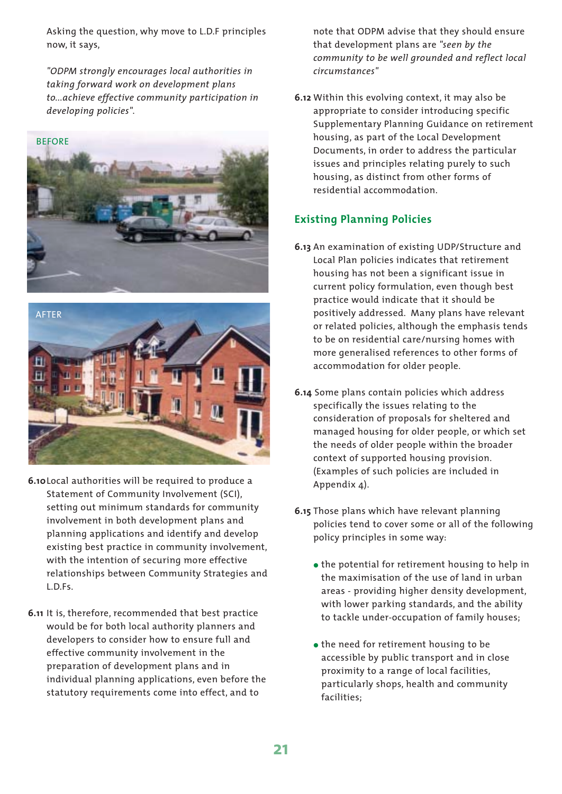Asking the question, why move to L.D.F principles now, it says,

*"ODPM strongly encourages local authorities in taking forward work on development plans to...achieve effective community participation in developing policies".*





- **6.10**Local authorities will be required to produce a Statement of Community Involvement (SCI), setting out minimum standards for community involvement in both development plans and planning applications and identify and develop existing best practice in community involvement, with the intention of securing more effective relationships between Community Strategies and L.D.Fs.
- **6.11** It is, therefore, recommended that best practice would be for both local authority planners and developers to consider how to ensure full and effective community involvement in the preparation of development plans and in individual planning applications, even before the statutory requirements come into effect, and to

note that ODPM advise that they should ensure that development plans are *"seen by the community to be well grounded and reflect local circumstances"*

**6.12** Within this evolving context, it may also be appropriate to consider introducing specific Supplementary Planning Guidance on retirement housing, as part of the Local Development Documents, in order to address the particular issues and principles relating purely to such housing, as distinct from other forms of residential accommodation.

# **Existing Planning Policies**

- **6.13** An examination of existing UDP/Structure and Local Plan policies indicates that retirement housing has not been a significant issue in current policy formulation, even though best practice would indicate that it should be positively addressed. Many plans have relevant or related policies, although the emphasis tends to be on residential care/nursing homes with more generalised references to other forms of accommodation for older people.
- **6.14** Some plans contain policies which address specifically the issues relating to the consideration of proposals for sheltered and managed housing for older people, or which set the needs of older people within the broader context of supported housing provision. (Examples of such policies are included in Appendix 4).
- **6.15** Those plans which have relevant planning policies tend to cover some or all of the following policy principles in some way:
	- the potential for retirement housing to help in the maximisation of the use of land in urban areas - providing higher density development, with lower parking standards, and the ability to tackle under-occupation of family houses;
	- the need for retirement housing to be accessible by public transport and in close proximity to a range of local facilities, particularly shops, health and community facilities;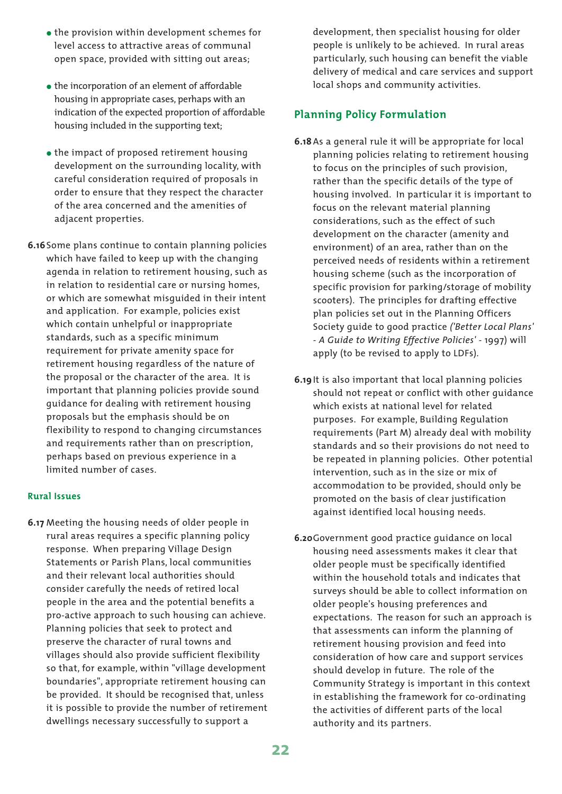- the provision within development schemes for level access to attractive areas of communal open space, provided with sitting out areas;
- the incorporation of an element of affordable housing in appropriate cases, perhaps with an indication of the expected proportion of affordable housing included in the supporting text;
- the impact of proposed retirement housing development on the surrounding locality, with careful consideration required of proposals in order to ensure that they respect the character of the area concerned and the amenities of adjacent properties.
- **6.16**Some plans continue to contain planning policies which have failed to keep up with the changing agenda in relation to retirement housing, such as in relation to residential care or nursing homes, or which are somewhat misguided in their intent and application. For example, policies exist which contain unhelpful or inappropriate standards, such as a specific minimum requirement for private amenity space for retirement housing regardless of the nature of the proposal or the character of the area. It is important that planning policies provide sound guidance for dealing with retirement housing proposals but the emphasis should be on flexibility to respond to changing circumstances and requirements rather than on prescription, perhaps based on previous experience in a limited number of cases.

#### **Rural Issues**

**6.17** Meeting the housing needs of older people in rural areas requires a specific planning policy response. When preparing Village Design Statements or Parish Plans, local communities and their relevant local authorities should consider carefully the needs of retired local people in the area and the potential benefits a pro-active approach to such housing can achieve. Planning policies that seek to protect and preserve the character of rural towns and villages should also provide sufficient flexibility so that, for example, within "village development boundaries", appropriate retirement housing can be provided. It should be recognised that, unless it is possible to provide the number of retirement dwellings necessary successfully to support a

development, then specialist housing for older people is unlikely to be achieved. In rural areas particularly, such housing can benefit the viable delivery of medical and care services and support local shops and community activities.

## **Planning Policy Formulation**

- **6.18** As a general rule it will be appropriate for local planning policies relating to retirement housing to focus on the principles of such provision, rather than the specific details of the type of housing involved. In particular it is important to focus on the relevant material planning considerations, such as the effect of such development on the character (amenity and environment) of an area, rather than on the perceived needs of residents within a retirement housing scheme (such as the incorporation of specific provision for parking/storage of mobility scooters). The principles for drafting effective plan policies set out in the Planning Officers Society guide to good practice *('Better Local Plans' - A Guide to Writing Effective Policies'* - 1997) will apply (to be revised to apply to LDFs).
- **6.19**It is also important that local planning policies should not repeat or conflict with other guidance which exists at national level for related purposes. For example, Building Regulation requirements (Part M) already deal with mobility standards and so their provisions do not need to be repeated in planning policies. Other potential intervention, such as in the size or mix of accommodation to be provided, should only be promoted on the basis of clear justification against identified local housing needs.
- **6.20**Government good practice guidance on local housing need assessments makes it clear that older people must be specifically identified within the household totals and indicates that surveys should be able to collect information on older people's housing preferences and expectations. The reason for such an approach is that assessments can inform the planning of retirement housing provision and feed into consideration of how care and support services should develop in future. The role of the Community Strategy is important in this context in establishing the framework for co-ordinating the activities of different parts of the local authority and its partners.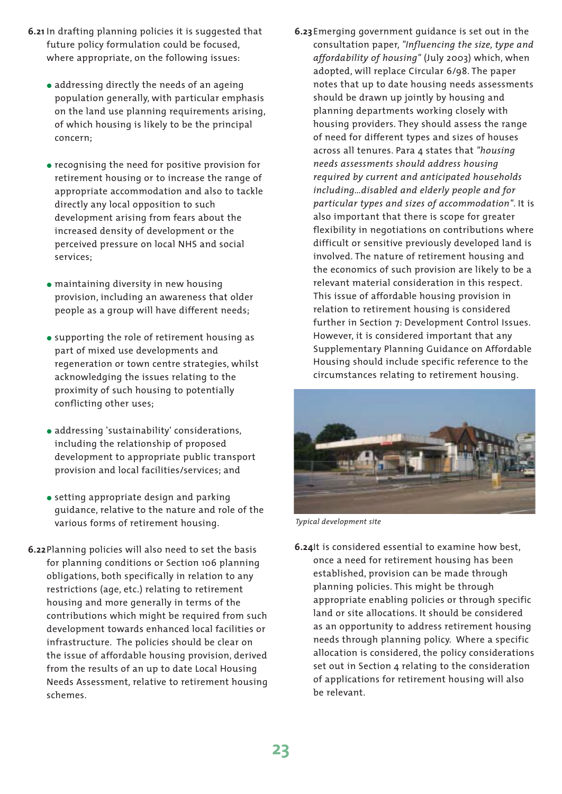- **6.21** In drafting planning policies it is suggested that future policy formulation could be focused, where appropriate, on the following issues:
	- addressing directly the needs of an ageing population generally, with particular emphasis on the land use planning requirements arising, of which housing is likely to be the principal concern;
	- recognising the need for positive provision for retirement housing or to increase the range of appropriate accommodation and also to tackle directly any local opposition to such development arising from fears about the increased density of development or the perceived pressure on local NHS and social services;
	- maintaining diversity in new housing provision, including an awareness that older people as a group will have different needs;
	- supporting the role of retirement housing as part of mixed use developments and regeneration or town centre strategies, whilst acknowledging the issues relating to the proximity of such housing to potentially conflicting other uses;
	- addressing 'sustainability' considerations, including the relationship of proposed development to appropriate public transport provision and local facilities/services; and
	- setting appropriate design and parking guidance, relative to the nature and role of the various forms of retirement housing.
- **6.22**Planning policies will also need to set the basis for planning conditions or Section 106 planning obligations, both specifically in relation to any restrictions (age, etc.) relating to retirement housing and more generally in terms of the contributions which might be required from such development towards enhanced local facilities or infrastructure. The policies should be clear on the issue of affordable housing provision, derived from the results of an up to date Local Housing Needs Assessment, relative to retirement housing schemes.

**6.23**Emerging government guidance is set out in the consultation paper, *"Influencing the size, type and affordability of housing"* (July 2003) which, when adopted, will replace Circular 6/98. The paper notes that up to date housing needs assessments should be drawn up jointly by housing and planning departments working closely with housing providers. They should assess the range of need for different types and sizes of houses across all tenures. Para 4 states that *"housing needs assessments should address housing required by current and anticipated households including…disabled and elderly people and for particular types and sizes of accommodation"*. It is also important that there is scope for greater flexibility in negotiations on contributions where difficult or sensitive previously developed land is involved. The nature of retirement housing and the economics of such provision are likely to be a relevant material consideration in this respect. This issue of affordable housing provision in relation to retirement housing is considered further in Section 7: Development Control Issues. However, it is considered important that any Supplementary Planning Guidance on Affordable Housing should include specific reference to the circumstances relating to retirement housing.



*Typical development site*

**6.24**It is considered essential to examine how best, once a need for retirement housing has been established, provision can be made through planning policies. This might be through appropriate enabling policies or through specific land or site allocations. It should be considered as an opportunity to address retirement housing needs through planning policy. Where a specific allocation is considered, the policy considerations set out in Section 4 relating to the consideration of applications for retirement housing will also be relevant.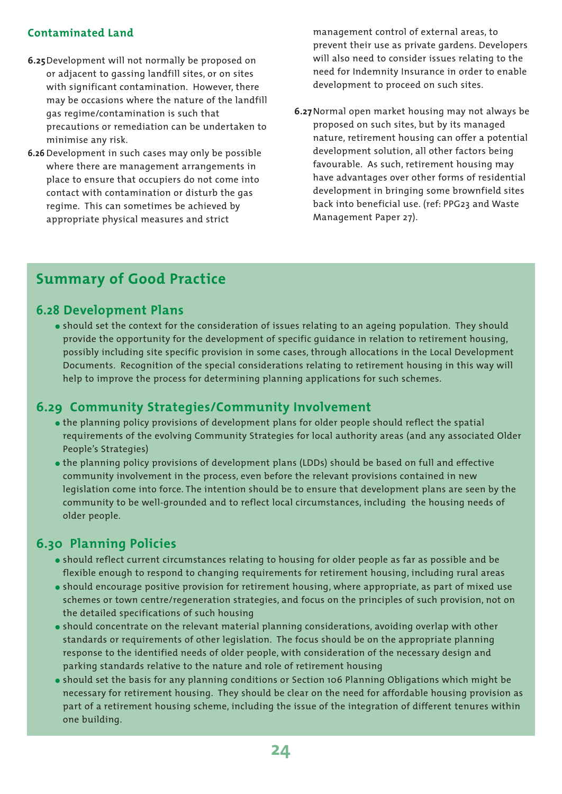# **Contaminated Land**

- **6.25**Development will not normally be proposed on or adjacent to gassing landfill sites, or on sites with significant contamination. However, there may be occasions where the nature of the landfill gas regime/contamination is such that precautions or remediation can be undertaken to minimise any risk.
- **6.26** Development in such cases may only be possible where there are management arrangements in place to ensure that occupiers do not come into contact with contamination or disturb the gas regime. This can sometimes be achieved by appropriate physical measures and strict

management control of external areas, to prevent their use as private gardens. Developers will also need to consider issues relating to the need for Indemnity Insurance in order to enable development to proceed on such sites.

**6.27**Normal open market housing may not always be proposed on such sites, but by its managed nature, retirement housing can offer a potential development solution, all other factors being favourable. As such, retirement housing may have advantages over other forms of residential development in bringing some brownfield sites back into beneficial use. (ref: PPG23 and Waste Management Paper 27).

# **Summary of Good Practice**

# **6.28 Development Plans**

 should set the context for the consideration of issues relating to an ageing population. They should provide the opportunity for the development of specific guidance in relation to retirement housing, possibly including site specific provision in some cases, through allocations in the Local Development Documents. Recognition of the special considerations relating to retirement housing in this way will help to improve the process for determining planning applications for such schemes.

# **6.29 Community Strategies/Community Involvement**

- the planning policy provisions of development plans for older people should reflect the spatial requirements of the evolving Community Strategies for local authority areas (and any associated Older People's Strategies)
- the planning policy provisions of development plans (LDDs) should be based on full and effective community involvement in the process, even before the relevant provisions contained in new legislation come into force. The intention should be to ensure that development plans are seen by the community to be well-grounded and to reflect local circumstances, including the housing needs of older people.

# **6.30 Planning Policies**

- should reflect current circumstances relating to housing for older people as far as possible and be flexible enough to respond to changing requirements for retirement housing, including rural areas
- should encourage positive provision for retirement housing, where appropriate, as part of mixed use schemes or town centre/regeneration strategies, and focus on the principles of such provision, not on the detailed specifications of such housing
- should concentrate on the relevant material planning considerations, avoiding overlap with other standards or requirements of other legislation. The focus should be on the appropriate planning response to the identified needs of older people, with consideration of the necessary design and parking standards relative to the nature and role of retirement housing
- should set the basis for any planning conditions or Section 106 Planning Obligations which might be necessary for retirement housing. They should be clear on the need for affordable housing provision as part of a retirement housing scheme, including the issue of the integration of different tenures within one building.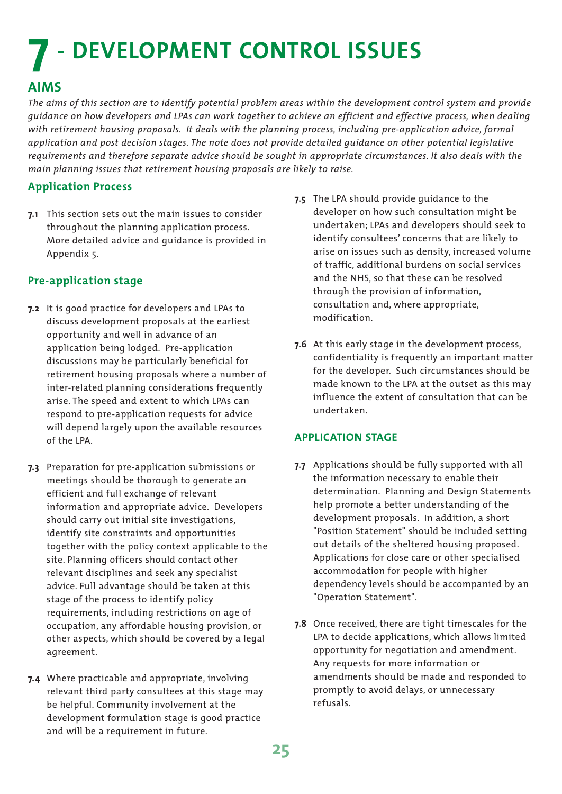# **7 - DEVELOPMENT CONTROL ISSUES**

# **AIMS**

*The aims of this section are to identify potential problem areas within the development control system and provide guidance on how developers and LPAs can work together to achieve an efficient and effective process, when dealing with retirement housing proposals. It deals with the planning process, including pre-application advice, formal application and post decision stages. The note does not provide detailed guidance on other potential legislative requirements and therefore separate advice should be sought in appropriate circumstances. It also deals with the main planning issues that retirement housing proposals are likely to raise.*

### **Application Process**

**7.1** This section sets out the main issues to consider throughout the planning application process. More detailed advice and guidance is provided in Appendix 5.

# **Pre-application stage**

- **7.2** It is good practice for developers and LPAs to discuss development proposals at the earliest opportunity and well in advance of an application being lodged. Pre-application discussions may be particularly beneficial for retirement housing proposals where a number of inter-related planning considerations frequently arise. The speed and extent to which LPAs can respond to pre-application requests for advice will depend largely upon the available resources of the LPA.
- **7.3** Preparation for pre-application submissions or meetings should be thorough to generate an efficient and full exchange of relevant information and appropriate advice. Developers should carry out initial site investigations, identify site constraints and opportunities together with the policy context applicable to the site. Planning officers should contact other relevant disciplines and seek any specialist advice. Full advantage should be taken at this stage of the process to identify policy requirements, including restrictions on age of occupation, any affordable housing provision, or other aspects, which should be covered by a legal agreement.
- **7.4** Where practicable and appropriate, involving relevant third party consultees at this stage may be helpful. Community involvement at the development formulation stage is good practice and will be a requirement in future.
- **7.5** The LPA should provide guidance to the developer on how such consultation might be undertaken; LPAs and developers should seek to identify consultees' concerns that are likely to arise on issues such as density, increased volume of traffic, additional burdens on social services and the NHS, so that these can be resolved through the provision of information, consultation and, where appropriate, modification.
- **7.6** At this early stage in the development process, confidentiality is frequently an important matter for the developer. Such circumstances should be made known to the LPA at the outset as this may influence the extent of consultation that can be undertaken.

## **APPLICATION STAGE**

- **7.7** Applications should be fully supported with all the information necessary to enable their determination. Planning and Design Statements help promote a better understanding of the development proposals. In addition, a short "Position Statement" should be included setting out details of the sheltered housing proposed. Applications for close care or other specialised accommodation for people with higher dependency levels should be accompanied by an "Operation Statement".
- **7.8** Once received, there are tight timescales for the LPA to decide applications, which allows limited opportunity for negotiation and amendment. Any requests for more information or amendments should be made and responded to promptly to avoid delays, or unnecessary refusals.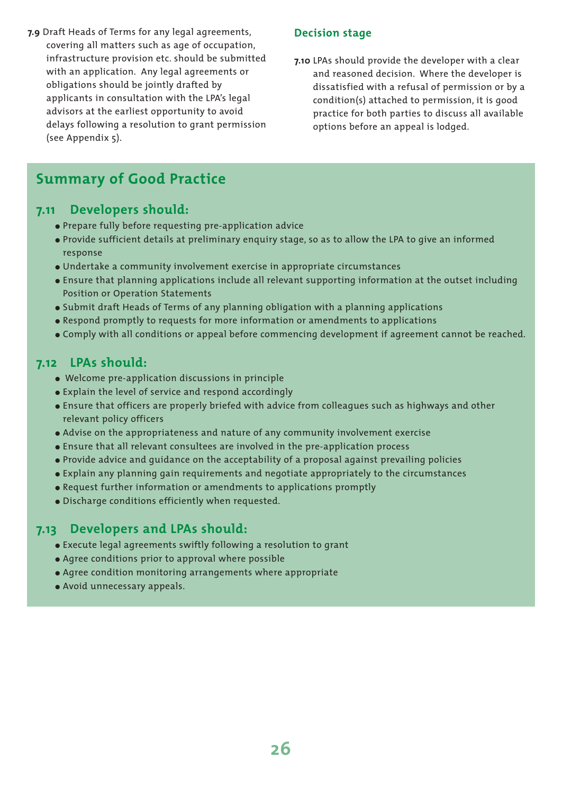**7.9** Draft Heads of Terms for any legal agreements, covering all matters such as age of occupation, infrastructure provision etc. should be submitted with an application. Any legal agreements or obligations should be jointly drafted by applicants in consultation with the LPA's legal advisors at the earliest opportunity to avoid delays following a resolution to grant permission (see Appendix 5).

### **Decision stage**

**7.10** LPAs should provide the developer with a clear and reasoned decision. Where the developer is dissatisfied with a refusal of permission or by a condition(s) attached to permission, it is good practice for both parties to discuss all available options before an appeal is lodged.

# **Summary of Good Practice**

# **7.11 Developers should:**

- Prepare fully before requesting pre-application advice
- Provide sufficient details at preliminary enquiry stage, so as to allow the LPA to give an informed response
- Undertake a community involvement exercise in appropriate circumstances
- Ensure that planning applications include all relevant supporting information at the outset including Position or Operation Statements
- Submit draft Heads of Terms of any planning obligation with a planning applications
- Respond promptly to requests for more information or amendments to applications
- Comply with all conditions or appeal before commencing development if agreement cannot be reached.

# **7.12 LPAs should:**

- Welcome pre-application discussions in principle
- Explain the level of service and respond accordingly
- Ensure that officers are properly briefed with advice from colleagues such as highways and other relevant policy officers
- Advise on the appropriateness and nature of any community involvement exercise
- Ensure that all relevant consultees are involved in the pre-application process
- Provide advice and guidance on the acceptability of a proposal against prevailing policies
- Explain any planning gain requirements and negotiate appropriately to the circumstances
- Request further information or amendments to applications promptly
- Discharge conditions efficiently when requested.

# **7.13 Developers and LPAs should:**

- Execute legal agreements swiftly following a resolution to grant
- Agree conditions prior to approval where possible
- Agree condition monitoring arrangements where appropriate
- Avoid unnecessary appeals.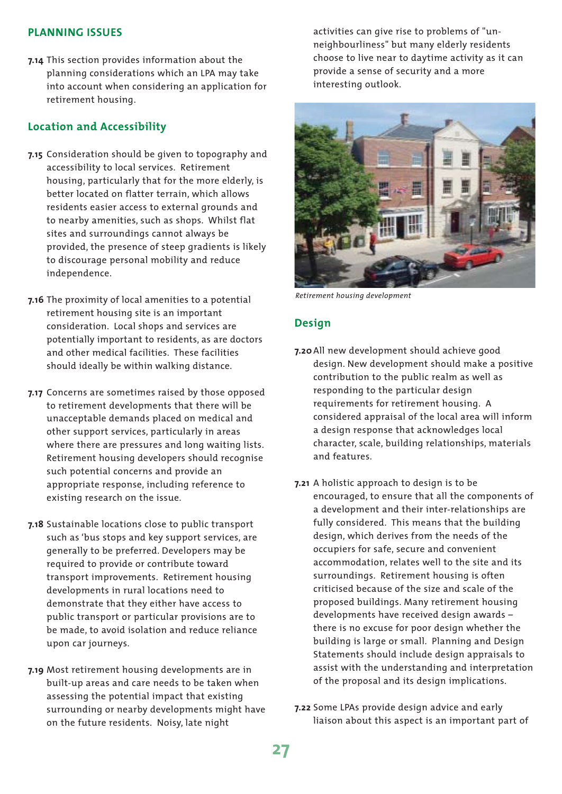#### **PLANNING ISSUES**

**7.14** This section provides information about the planning considerations which an LPA may take into account when considering an application for retirement housing.

#### **Location and Accessibility**

- **7.15** Consideration should be given to topography and accessibility to local services. Retirement housing, particularly that for the more elderly, is better located on flatter terrain, which allows residents easier access to external grounds and to nearby amenities, such as shops. Whilst flat sites and surroundings cannot always be provided, the presence of steep gradients is likely to discourage personal mobility and reduce independence.
- **7.16** The proximity of local amenities to a potential retirement housing site is an important consideration. Local shops and services are potentially important to residents, as are doctors and other medical facilities. These facilities should ideally be within walking distance.
- **7.17** Concerns are sometimes raised by those opposed to retirement developments that there will be unacceptable demands placed on medical and other support services, particularly in areas where there are pressures and long waiting lists. Retirement housing developers should recognise such potential concerns and provide an appropriate response, including reference to existing research on the issue.
- **7.18** Sustainable locations close to public transport such as 'bus stops and key support services, are generally to be preferred. Developers may be required to provide or contribute toward transport improvements. Retirement housing developments in rural locations need to demonstrate that they either have access to public transport or particular provisions are to be made, to avoid isolation and reduce reliance upon car journeys.
- **7.19** Most retirement housing developments are in built-up areas and care needs to be taken when assessing the potential impact that existing surrounding or nearby developments might have on the future residents. Noisy, late night

activities can give rise to problems of "unneighbourliness" but many elderly residents choose to live near to daytime activity as it can provide a sense of security and a more interesting outlook.



*Retirement housing development*

#### **Design**

- **7.20**All new development should achieve good design. New development should make a positive contribution to the public realm as well as responding to the particular design requirements for retirement housing. A considered appraisal of the local area will inform a design response that acknowledges local character, scale, building relationships, materials and features.
- **7.21** A holistic approach to design is to be encouraged, to ensure that all the components of a development and their inter-relationships are fully considered. This means that the building design, which derives from the needs of the occupiers for safe, secure and convenient accommodation, relates well to the site and its surroundings. Retirement housing is often criticised because of the size and scale of the proposed buildings. Many retirement housing developments have received design awards – there is no excuse for poor design whether the building is large or small. Planning and Design Statements should include design appraisals to assist with the understanding and interpretation of the proposal and its design implications.
- **7.22** Some LPAs provide design advice and early liaison about this aspect is an important part of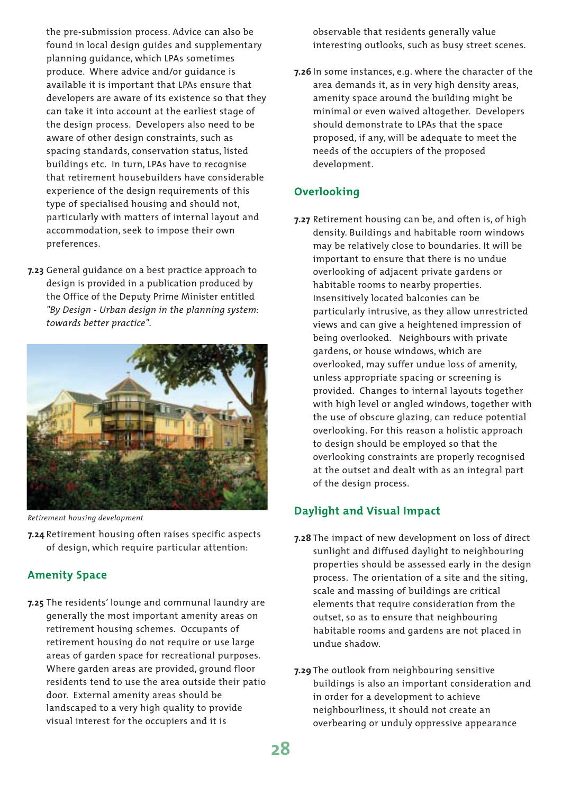the pre-submission process. Advice can also be found in local design guides and supplementary planning guidance, which LPAs sometimes produce. Where advice and/or guidance is available it is important that LPAs ensure that developers are aware of its existence so that they can take it into account at the earliest stage of the design process. Developers also need to be aware of other design constraints, such as spacing standards, conservation status, listed buildings etc. In turn, LPAs have to recognise that retirement housebuilders have considerable experience of the design requirements of this type of specialised housing and should not, particularly with matters of internal layout and accommodation, seek to impose their own preferences.

**7.23** General guidance on a best practice approach to design is provided in a publication produced by the Office of the Deputy Prime Minister entitled *"By Design - Urban design in the planning system: towards better practice"*.



*Retirement housing development*

**7.24** Retirement housing often raises specific aspects of design, which require particular attention:

## **Amenity Space**

**7.25** The residents' lounge and communal laundry are generally the most important amenity areas on retirement housing schemes. Occupants of retirement housing do not require or use large areas of garden space for recreational purposes. Where garden areas are provided, ground floor residents tend to use the area outside their patio door. External amenity areas should be landscaped to a very high quality to provide visual interest for the occupiers and it is

observable that residents generally value interesting outlooks, such as busy street scenes.

**7.26** In some instances, e.g. where the character of the area demands it, as in very high density areas, amenity space around the building might be minimal or even waived altogether. Developers should demonstrate to LPAs that the space proposed, if any, will be adequate to meet the needs of the occupiers of the proposed development.

# **Overlooking**

**7.27** Retirement housing can be, and often is, of high density. Buildings and habitable room windows may be relatively close to boundaries. It will be important to ensure that there is no undue overlooking of adjacent private gardens or habitable rooms to nearby properties. Insensitively located balconies can be particularly intrusive, as they allow unrestricted views and can give a heightened impression of being overlooked. Neighbours with private gardens, or house windows, which are overlooked, may suffer undue loss of amenity, unless appropriate spacing or screening is provided. Changes to internal layouts together with high level or angled windows, together with the use of obscure glazing, can reduce potential overlooking. For this reason a holistic approach to design should be employed so that the overlooking constraints are properly recognised at the outset and dealt with as an integral part of the design process.

# **Daylight and Visual Impact**

- **7.28** The impact of new development on loss of direct sunlight and diffused daylight to neighbouring properties should be assessed early in the design process. The orientation of a site and the siting, scale and massing of buildings are critical elements that require consideration from the outset, so as to ensure that neighbouring habitable rooms and gardens are not placed in undue shadow.
- **7.29** The outlook from neighbouring sensitive buildings is also an important consideration and in order for a development to achieve neighbourliness, it should not create an overbearing or unduly oppressive appearance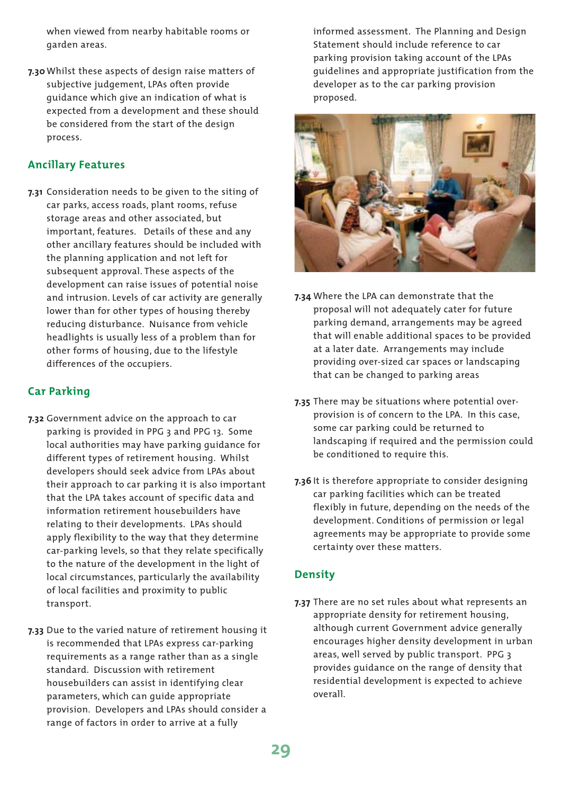when viewed from nearby habitable rooms or garden areas.

**7.30** Whilst these aspects of design raise matters of subjective judgement, LPAs often provide guidance which give an indication of what is expected from a development and these should be considered from the start of the design process.

## **Ancillary Features**

**7.31** Consideration needs to be given to the siting of car parks, access roads, plant rooms, refuse storage areas and other associated, but important, features. Details of these and any other ancillary features should be included with the planning application and not left for subsequent approval. These aspects of the development can raise issues of potential noise and intrusion. Levels of car activity are generally lower than for other types of housing thereby reducing disturbance. Nuisance from vehicle headlights is usually less of a problem than for other forms of housing, due to the lifestyle differences of the occupiers.

## **Car Parking**

- **7.32** Government advice on the approach to car parking is provided in PPG 3 and PPG 13. Some local authorities may have parking guidance for different types of retirement housing. Whilst developers should seek advice from LPAs about their approach to car parking it is also important that the LPA takes account of specific data and information retirement housebuilders have relating to their developments. LPAs should apply flexibility to the way that they determine car-parking levels, so that they relate specifically to the nature of the development in the light of local circumstances, particularly the availability of local facilities and proximity to public transport.
- **7.33** Due to the varied nature of retirement housing it is recommended that LPAs express car-parking requirements as a range rather than as a single standard. Discussion with retirement housebuilders can assist in identifying clear parameters, which can guide appropriate provision. Developers and LPAs should consider a range of factors in order to arrive at a fully

informed assessment. The Planning and Design Statement should include reference to car parking provision taking account of the LPAs guidelines and appropriate justification from the developer as to the car parking provision proposed.



- **7.34** Where the LPA can demonstrate that the proposal will not adequately cater for future parking demand, arrangements may be agreed that will enable additional spaces to be provided at a later date. Arrangements may include providing over-sized car spaces or landscaping that can be changed to parking areas
- **7.35** There may be situations where potential overprovision is of concern to the LPA. In this case, some car parking could be returned to landscaping if required and the permission could be conditioned to require this.
- **7.36** It is therefore appropriate to consider designing car parking facilities which can be treated flexibly in future, depending on the needs of the development. Conditions of permission or legal agreements may be appropriate to provide some certainty over these matters.

#### **Density**

**7.37** There are no set rules about what represents an appropriate density for retirement housing, although current Government advice generally encourages higher density development in urban areas, well served by public transport. PPG 3 provides guidance on the range of density that residential development is expected to achieve overall.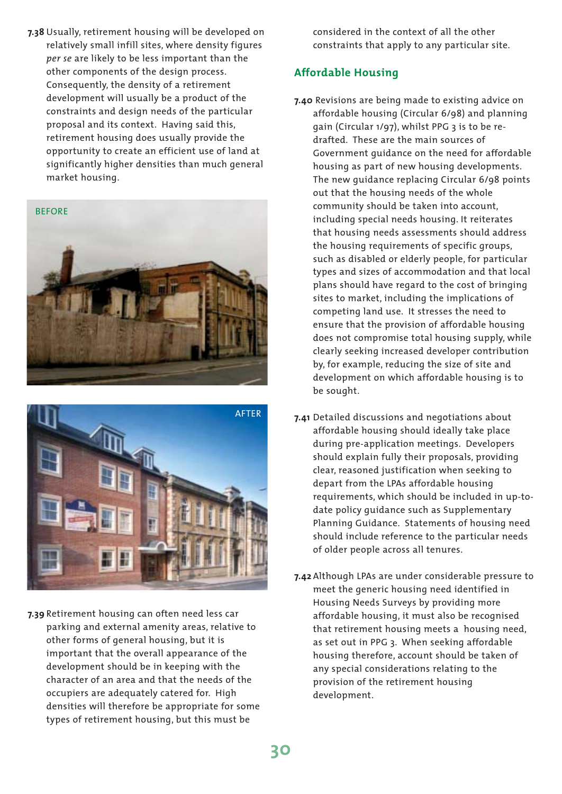**7.38** Usually, retirement housing will be developed on relatively small infill sites, where density figures *per se* are likely to be less important than the other components of the design process. Consequently, the density of a retirement development will usually be a product of the constraints and design needs of the particular proposal and its context. Having said this, retirement housing does usually provide the opportunity to create an efficient use of land at significantly higher densities than much general market housing.





**7.39** Retirement housing can often need less car parking and external amenity areas, relative to other forms of general housing, but it is important that the overall appearance of the development should be in keeping with the character of an area and that the needs of the occupiers are adequately catered for. High densities will therefore be appropriate for some types of retirement housing, but this must be

considered in the context of all the other constraints that apply to any particular site.

# **Affordable Housing**

- **7.40** Revisions are being made to existing advice on affordable housing (Circular 6/98) and planning gain (Circular 1/97), whilst PPG 3 is to be redrafted. These are the main sources of Government guidance on the need for affordable housing as part of new housing developments. The new guidance replacing Circular 6/98 points out that the housing needs of the whole community should be taken into account, including special needs housing. It reiterates that housing needs assessments should address the housing requirements of specific groups, such as disabled or elderly people, for particular types and sizes of accommodation and that local plans should have regard to the cost of bringing sites to market, including the implications of competing land use. It stresses the need to ensure that the provision of affordable housing does not compromise total housing supply, while clearly seeking increased developer contribution by, for example, reducing the size of site and development on which affordable housing is to be sought.
- **7.41** Detailed discussions and negotiations about affordable housing should ideally take place during pre-application meetings. Developers should explain fully their proposals, providing clear, reasoned justification when seeking to depart from the LPAs affordable housing requirements, which should be included in up-todate policy guidance such as Supplementary Planning Guidance. Statements of housing need should include reference to the particular needs of older people across all tenures.
- **7.42** Although LPAs are under considerable pressure to meet the generic housing need identified in Housing Needs Surveys by providing more affordable housing, it must also be recognised that retirement housing meets a housing need, as set out in PPG 3. When seeking affordable housing therefore, account should be taken of any special considerations relating to the provision of the retirement housing development.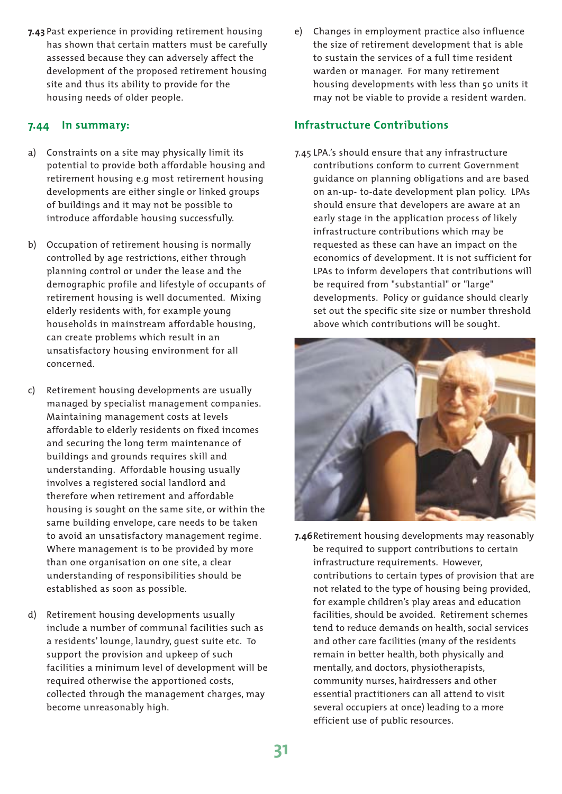**7.43** Past experience in providing retirement housing has shown that certain matters must be carefully assessed because they can adversely affect the development of the proposed retirement housing site and thus its ability to provide for the housing needs of older people.

### **7.44 In summary:**

- a) Constraints on a site may physically limit its potential to provide both affordable housing and retirement housing e.g most retirement housing developments are either single or linked groups of buildings and it may not be possible to introduce affordable housing successfully.
- b) Occupation of retirement housing is normally controlled by age restrictions, either through planning control or under the lease and the demographic profile and lifestyle of occupants of retirement housing is well documented. Mixing elderly residents with, for example young households in mainstream affordable housing, can create problems which result in an unsatisfactory housing environment for all concerned.
- c) Retirement housing developments are usually managed by specialist management companies. Maintaining management costs at levels affordable to elderly residents on fixed incomes and securing the long term maintenance of buildings and grounds requires skill and understanding. Affordable housing usually involves a registered social landlord and therefore when retirement and affordable housing is sought on the same site, or within the same building envelope, care needs to be taken to avoid an unsatisfactory management regime. Where management is to be provided by more than one organisation on one site, a clear understanding of responsibilities should be established as soon as possible.
- d) Retirement housing developments usually include a number of communal facilities such as a residents' lounge, laundry, guest suite etc. To support the provision and upkeep of such facilities a minimum level of development will be required otherwise the apportioned costs, collected through the management charges, may become unreasonably high.

e) Changes in employment practice also influence the size of retirement development that is able to sustain the services of a full time resident warden or manager. For many retirement housing developments with less than 50 units it may not be viable to provide a resident warden.

# **Infrastructure Contributions**

7.45 LPA.'s should ensure that any infrastructure contributions conform to current Government guidance on planning obligations and are based on an-up- to-date development plan policy. LPAs should ensure that developers are aware at an early stage in the application process of likely infrastructure contributions which may be requested as these can have an impact on the economics of development. It is not sufficient for LPAs to inform developers that contributions will be required from "substantial" or "large" developments. Policy or guidance should clearly set out the specific site size or number threshold above which contributions will be sought.



**7.46**Retirement housing developments may reasonably be required to support contributions to certain infrastructure requirements. However, contributions to certain types of provision that are not related to the type of housing being provided, for example children's play areas and education facilities, should be avoided. Retirement schemes tend to reduce demands on health, social services and other care facilities (many of the residents remain in better health, both physically and mentally, and doctors, physiotherapists, community nurses, hairdressers and other essential practitioners can all attend to visit several occupiers at once) leading to a more efficient use of public resources.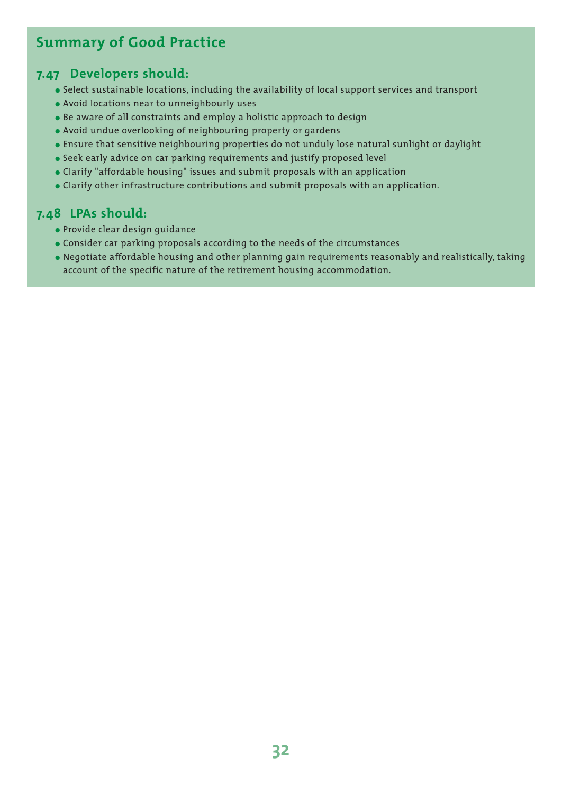# **Summary of Good Practice**

# **7.47 Developers should:**

- Select sustainable locations, including the availability of local support services and transport
- Avoid locations near to unneighbourly uses
- Be aware of all constraints and employ a holistic approach to design
- Avoid undue overlooking of neighbouring property or gardens
- Ensure that sensitive neighbouring properties do not unduly lose natural sunlight or daylight
- Seek early advice on car parking requirements and justify proposed level
- Clarify "affordable housing" issues and submit proposals with an application
- Clarify other infrastructure contributions and submit proposals with an application.

# **7.48 LPAs should:**

- Provide clear design guidance
- Consider car parking proposals according to the needs of the circumstances
- Negotiate affordable housing and other planning gain requirements reasonably and realistically, taking account of the specific nature of the retirement housing accommodation.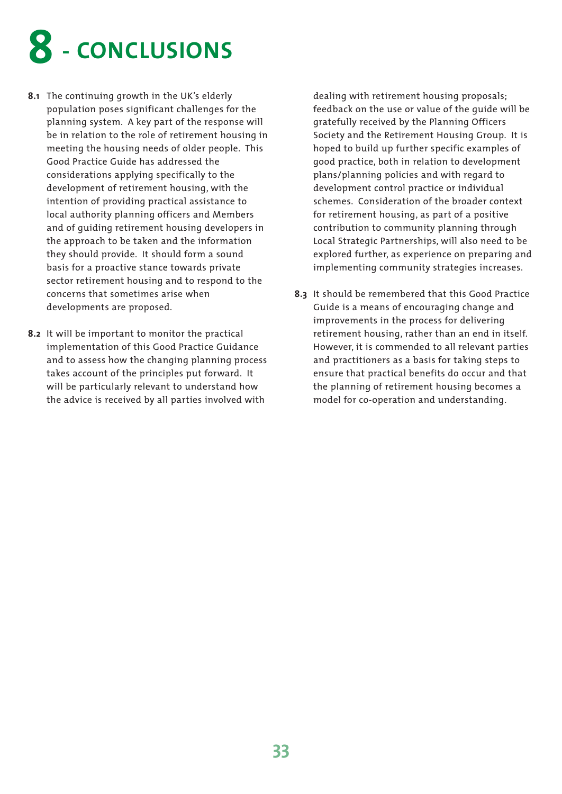

- **8.1** The continuing growth in the UK's elderly population poses significant challenges for the planning system. A key part of the response will be in relation to the role of retirement housing in meeting the housing needs of older people. This Good Practice Guide has addressed the considerations applying specifically to the development of retirement housing, with the intention of providing practical assistance to local authority planning officers and Members and of guiding retirement housing developers in the approach to be taken and the information they should provide. It should form a sound basis for a proactive stance towards private sector retirement housing and to respond to the concerns that sometimes arise when developments are proposed.
- **8.2** It will be important to monitor the practical implementation of this Good Practice Guidance and to assess how the changing planning process takes account of the principles put forward. It will be particularly relevant to understand how the advice is received by all parties involved with

dealing with retirement housing proposals; feedback on the use or value of the guide will be gratefully received by the Planning Officers Society and the Retirement Housing Group. It is hoped to build up further specific examples of good practice, both in relation to development plans/planning policies and with regard to development control practice or individual schemes. Consideration of the broader context for retirement housing, as part of a positive contribution to community planning through Local Strategic Partnerships, will also need to be explored further, as experience on preparing and implementing community strategies increases.

**8.3** It should be remembered that this Good Practice Guide is a means of encouraging change and improvements in the process for delivering retirement housing, rather than an end in itself. However, it is commended to all relevant parties and practitioners as a basis for taking steps to ensure that practical benefits do occur and that the planning of retirement housing becomes a model for co-operation and understanding.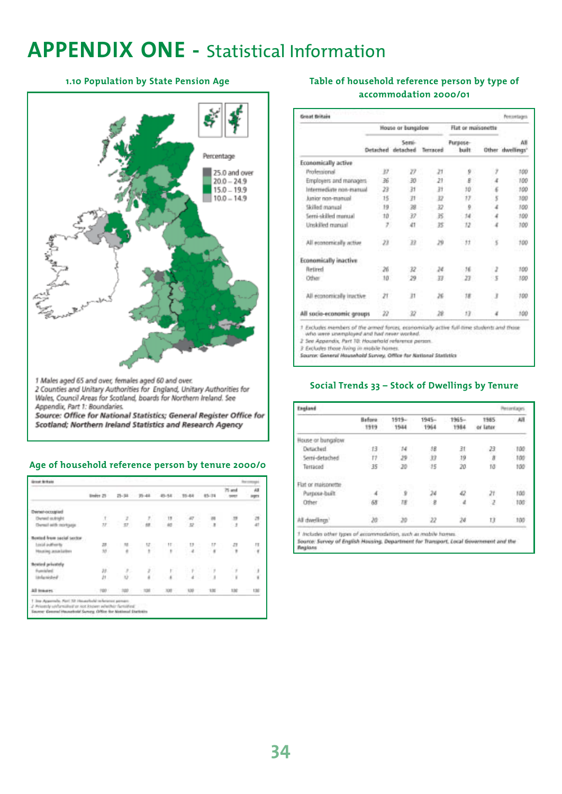# **APPENDIX ONE -** Statistical Information

#### **1.10 Population by State Pension Age**



#### **Age of household reference person by tenure 2000/0**

| <b>Group Britain</b>             |                        |                 |                |                 |                 |         |                          |                |
|----------------------------------|------------------------|-----------------|----------------|-----------------|-----------------|---------|--------------------------|----------------|
|                                  | linder <sub>23</sub> . |                 | $7-34$ $75-44$ |                 | 49-54 15-64     | 65/74   | 75 and<br>$- 19000$      | AB<br>eger     |
| Dwinet-occupied                  |                        |                 |                |                 |                 |         |                          |                |
| Dyned subside                    |                        |                 |                |                 |                 |         | $\overline{\mathcal{D}}$ | $\frac{1}{4!}$ |
| Darmal selfs mortgage :          | đ.                     | $-\frac{2}{37}$ | $\frac{7}{48}$ | $\frac{19}{40}$ | $\frac{47}{12}$ | ÷,      | 53                       |                |
| <b>Numbed from social sector</b> |                        |                 |                |                 |                 |         |                          |                |
| phone that is later.             |                        |                 |                |                 |                 |         |                          |                |
| Housing association              | 思<br>τŋ                | u<br>t          | ¥.             | $\frac{1}{2}$   | $\frac{1}{4}$   | ÷<br>o. | ÷,                       | ş              |
| <b>Beated privately</b>          |                        |                 |                |                 |                 |         |                          |                |
| Funnished                        | ìń.                    |                 |                |                 |                 |         | G                        |                |
| Information                      | žt                     | 計               | ł.             | E.              | $\frac{1}{4}$   | g       | 18                       | ł              |
| All traury.                      |                        |                 | w              | TOTI            | 120             | tm      | 130                      | tat            |

#### **Table of household reference person by type of accommodation 2000/01**

|                           |               | House or bungalow |          | Flat or maisonette        |        |                        |
|---------------------------|---------------|-------------------|----------|---------------------------|--------|------------------------|
|                           | Detached      | Sami-<br>detached | Terraced | <b>Fursiose-</b><br>built |        | ΛĦ<br>Other dwellings" |
| Economically active       |               |                   |          |                           |        |                        |
| Professional              | 37            | 77                | 21       | ý                         |        | 100                    |
| Employers and managers    | 36            | 30                | 21       | g                         |        | 100                    |
| Interrediate non-manual   | 23            | 封                 | 封        | 30                        |        | 100                    |
| kanker non-manual         | 15            | 71                | 32       | 17.                       | 5      | 100                    |
| Skilled manual            | 19.           | 38                | 32       | 9                         |        | 100                    |
| Semi-skilled manual       | tű.           | 37                | ĸ        | 14                        |        | 100                    |
| Unskilled manual          | $\mathcal{F}$ | 41                | 35       | 12                        | ı      | 100                    |
| All economically active   | 23            | 22                | 29       | 31                        | $\leq$ | 100                    |
| Economically inactive     |               |                   |          |                           |        |                        |
| <b>Retired</b>            | $-26$         | 32                | м        | 36                        | -2     | 100                    |
| Other                     | 10            | -29               | 33       | 33                        | 15     | 100                    |
| All economically inactive | 21            | 31                | 26       | 38                        | J      | 7.00                   |
| All socio-economic groups | 29            | 32                | 28       | 13.7                      |        | 100                    |

who were unemployed and had never worked.

2 See Appendix, Part 10: Household reference person.

3 Excludes those living in mobile homes.<br>Source: General Mousehold Survey, Office for National Statistics

#### **Social Trends 33 – Stock of Dwellings by Tenure**

| England            |                        |                  |                  |                  |                  | Pertentiages |
|--------------------|------------------------|------------------|------------------|------------------|------------------|--------------|
|                    | <b>B</b> afora<br>1919 | $1919 -$<br>1944 | $1945 -$<br>1964 | $1965 -$<br>1984 | 1965<br>or later | All          |
| House or bungalow  |                        |                  |                  |                  |                  |              |
| Detached           | $-13$                  | 14               | 18               | 31               | 23               | 100          |
| Semi-detached      | 17                     | 29               | 33               | 19               | a<br>10          | TOO          |
| Terraced           | 35                     | 20               | 15               | 20               |                  | 100          |
| Flat or maisonette |                        |                  |                  | a st             |                  |              |
| Purpose-built      |                        | $\overline{y}$   | 24               | 42               | 21               | ras          |
| Other              | 68                     | 78               | - 8              | $\overline{a}$   | æ                | 100          |
| All dwellings?     | $\lambda t$            | 20               | particular<br>22 | con .<br>24      | ij               | 100          |

1 Includes other types of eccommodation, such as mobile homes.<br>Source: Servey of English Housing, Department for Transport, Local Government and the<br>Regions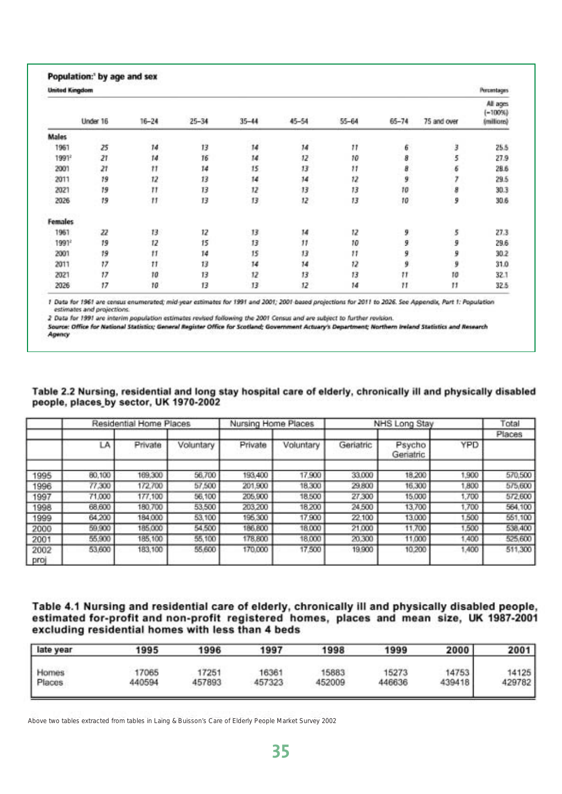|                   | <b>United Kingdom</b> |           |           |           |           |           |              |             |                                      |  |  |
|-------------------|-----------------------|-----------|-----------|-----------|-----------|-----------|--------------|-------------|--------------------------------------|--|--|
|                   | Under 16              | $16 - 24$ | $25 - 34$ | $35 - 44$ | $45 - 54$ | $55 - 64$ | $65 - 74$    | 75 and over | All ages<br>$(-100\%)$<br>(millions) |  |  |
| <b>Males</b>      |                       |           |           |           |           |           |              |             |                                      |  |  |
| 1961              | 25                    | 14        | 13        | 14        | 14        | 11        | 6            | з           | 25.5                                 |  |  |
| 1991              | 21                    | 14        | 16        | 14        | 12        | 10        | 8            | 5           | 27.9                                 |  |  |
| 2001              | 21                    | 11        | 14        | 15        | 13        | 11        | 8            | б           | 28.6                                 |  |  |
| 2011              | 19                    | $12 \,$   | 13        | 14        | 14        | 12        | 9            | ٠           | 29.5                                 |  |  |
| 2021              | 19                    | п         | 13        | 12        | 13        | 13        | 10           | 8           | 30.3                                 |  |  |
| 2026              | 19                    | 11        | 13        | 13        | 12        | 13        | 10           | 9           | 30.6                                 |  |  |
| <b>Females</b>    |                       |           |           |           |           |           |              |             |                                      |  |  |
| 1961              | $\mathbf{z}$          | 13        | 12        | 13        | 14        | 12        | 9            | 5           | 27.3                                 |  |  |
| 1991 <sup>k</sup> | 19                    | 12        | 15        | 13        | 11        | 10        | 9            | 9           | 29.6                                 |  |  |
| 2001              | 19                    | 11        | 14        | 15        | 13        | 11        | 9            | 9           | 30.2                                 |  |  |
| 2011              | 17                    | 11        | 13        | 14        | 14        | 12        | 9            | 9           | 31.0                                 |  |  |
| 2021              | 17                    | 10        | 13        | 12        | 13        | 13        | 11           | 10          | 32.1                                 |  |  |
| 2026              | 17                    | 10        | 13        | 13        | 12        | 14        | $^{\dagger}$ | 11          | 32.5                                 |  |  |

1 Data for 1961 are census enumerated; mid-year estimates for 1991 and 2001; 2001-based projections for 2011 to 2026. See Appendix, Part 1: Population estimates and projections.

2 Data for 1991 are interim population estimates revised following the 2001 Census and are subject to further revision.

Source: Office for National Statistics; General Register Office for Scotland; Government Actuary's Department; Northern Ireland Statistics and Research Agency

#### Table 2.2 Nursing, residential and long stay hospital care of elderly, chronically ill and physically disabled people, places by sector, UK 1970-2002

|              | Residential Home Places |         |           | Nursing Home Places |           |           | NHS Long Stay       |       | Total   |
|--------------|-------------------------|---------|-----------|---------------------|-----------|-----------|---------------------|-------|---------|
|              |                         |         |           |                     |           |           |                     |       | Places  |
|              | LA                      | Private | Voluntary | Private             | Voluntary | Geriatric | Psycho<br>Geriatric | YPD   |         |
| 1995         | 80,100                  | 169,300 | 56,700    | 193,400             | 17.900    | 33.000    | 18,200              | 1,900 | 570,500 |
| 1996         | 77,300                  | 172,700 | 57,500    | 201,900             | 18.300    | 29.800    | 16,300              | 1,800 | 575,600 |
| 1997         | 71,000                  | 177,100 | 56,100    | 205,900             | 18.500    | 27,300    | 15,000              | 1,700 | 572,600 |
| 1998         | 68,600                  | 180,700 | 53,500    | 203,200             | 18,200    | 24.500    | 13.700              | 1,700 | 564,100 |
| 1999         | 64,200                  | 184,000 | 53,100    | 195,300             | 17.900    | 22.100    | 13,000              | 1,500 | 551,100 |
| 2000         | 59,900                  | 185,000 | 54,500    | 186,800             | 18,000    | 21,000    | 11,700              | 1,500 | 538,400 |
| 2001         | 55,900                  | 185,100 | 55,100    | 178,800             | 18,000    | 20,300    | 11,000              | 1,400 | 525,600 |
| 2002<br>proj | 53,600                  | 183,100 | 55,600    | 170,000             | 17,500    | 19.900    | 10,200              | 1,400 | 511,300 |

#### Table 4.1 Nursing and residential care of elderly, chronically ill and physically disabled people, estimated for-profit and non-profit registered homes, places and mean size, UK 1987-2001 excluding residential homes with less than 4 beds

| late year | 1995   | 1996   | 1997   | 1998   | 1999   | 2000   | 2001   |
|-----------|--------|--------|--------|--------|--------|--------|--------|
| Homes     | 17065  | 17251  | 16361  | 15883  | 15273  | 14753  | 14125  |
| Places    | 440594 | 457893 | 457323 | 452009 | 446636 | 439418 | 429782 |

Above two tables extracted from tables in Laing & Buisson's Care of Elderly People Market Survey 2002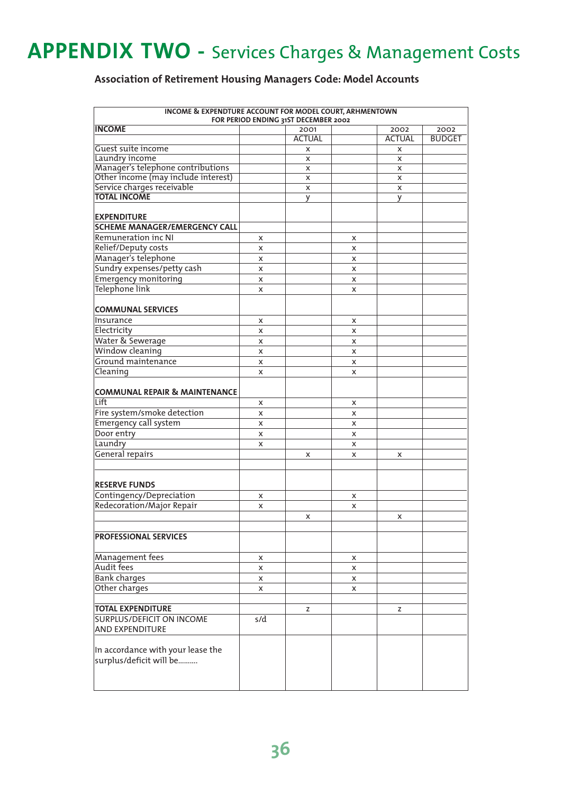# **APPENDIX TWO -** Services Charges & Management Costs

**Association of Retirement Housing Managers Code: Model Accounts**

| INCOME & EXPENDTURE ACCOUNT FOR MODEL COURT, ARHMENTOWN      |     | FOR PERIOD ENDING 31ST DECEMBER 2002 |   |               |               |
|--------------------------------------------------------------|-----|--------------------------------------|---|---------------|---------------|
| <b>INCOME</b>                                                |     | 2001                                 |   | 2002          | 2002          |
|                                                              |     | <b>ACTUAL</b>                        |   | <b>ACTUAL</b> | <b>BUDGET</b> |
| Guest suite income                                           |     | x                                    |   | X             |               |
| Laundry income                                               |     | X                                    |   | X             |               |
| Manager's telephone contributions                            |     | x                                    |   | X             |               |
| Other income (may include interest)                          |     | x                                    |   | x             |               |
| Service charges receivable                                   |     | x                                    |   | X             |               |
| <b>TOTAL INCOME</b>                                          |     | y                                    |   | y             |               |
|                                                              |     |                                      |   |               |               |
| <b>EXPENDITURE</b>                                           |     |                                      |   |               |               |
| <b>SCHEME MANAGER/EMERGENCY CALL</b>                         |     |                                      |   |               |               |
| Remuneration inc NI                                          | x   |                                      | x |               |               |
| Relief/Deputy costs                                          | X   |                                      | X |               |               |
| Manager's telephone                                          | X   |                                      |   |               |               |
|                                                              |     |                                      | X |               |               |
| Sundry expenses/petty cash                                   | x   |                                      | x |               |               |
| <b>Emergency monitoring</b>                                  | x   |                                      | x |               |               |
| Telephone link                                               | X   |                                      | x |               |               |
|                                                              |     |                                      |   |               |               |
| <b>COMMUNAL SERVICES</b>                                     |     |                                      |   |               |               |
| Insurance                                                    | x   |                                      | x |               |               |
| Electricity                                                  | X   |                                      | X |               |               |
| Water & Sewerage                                             | X   |                                      | x |               |               |
| Window cleaning                                              | x   |                                      | X |               |               |
| Ground maintenance                                           | X   |                                      | X |               |               |
| Cleaning                                                     | X   |                                      | x |               |               |
| <b>COMMUNAL REPAIR &amp; MAINTENANCE</b>                     |     |                                      |   |               |               |
| Lift                                                         | x   |                                      | X |               |               |
| Fire system/smoke detection                                  | x   |                                      | x |               |               |
| <b>Emergency call system</b>                                 | X   |                                      | X |               |               |
| Door entry                                                   | X   |                                      | X |               |               |
| Laundry                                                      | x   |                                      | x |               |               |
| General repairs                                              |     | x                                    | x | X             |               |
|                                                              |     |                                      |   |               |               |
| <b>RESERVE FUNDS</b>                                         |     |                                      |   |               |               |
| Contingency/Depreciation                                     | x   |                                      | x |               |               |
| Redecoration/Major Repair                                    | x   |                                      | x |               |               |
|                                                              |     | X                                    |   | X             |               |
|                                                              |     |                                      |   |               |               |
| <b>PROFESSIONAL SERVICES</b>                                 |     |                                      |   |               |               |
| Management fees                                              | x   |                                      | x |               |               |
| Audit fees                                                   | x   |                                      | x |               |               |
| <b>Bank charges</b>                                          | x   |                                      | x |               |               |
| Other charges                                                | x   |                                      | x |               |               |
|                                                              |     |                                      |   |               |               |
| <b>TOTAL EXPENDITURE</b>                                     |     | z                                    |   | z             |               |
| SURPLUS/DEFICIT ON INCOME                                    | s/d |                                      |   |               |               |
| <b>AND EXPENDITURE</b>                                       |     |                                      |   |               |               |
|                                                              |     |                                      |   |               |               |
| In accordance with your lease the<br>surplus/deficit will be |     |                                      |   |               |               |
|                                                              |     |                                      |   |               |               |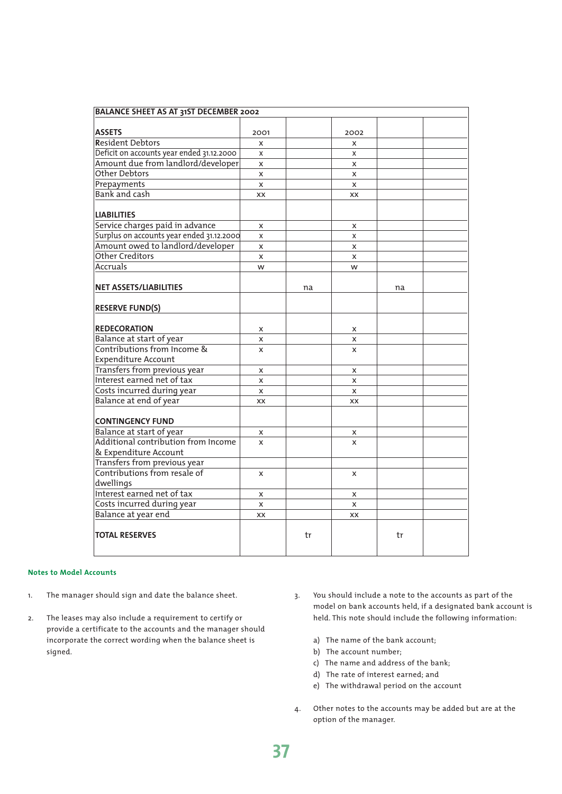| <b>BALANCE SHEET AS AT 31ST DECEMBER 2002</b> |      |    |      |    |  |  |
|-----------------------------------------------|------|----|------|----|--|--|
|                                               |      |    |      |    |  |  |
| <b>ASSETS</b>                                 | 2001 |    | 2002 |    |  |  |
| <b>Resident Debtors</b>                       | X    |    | x    |    |  |  |
| Deficit on accounts year ended 31.12.2000     | X    |    | X    |    |  |  |
| Amount due from landlord/developer            | X    |    | x    |    |  |  |
| <b>Other Debtors</b>                          | X    |    | x    |    |  |  |
| Prepayments                                   | X    |    | x    |    |  |  |
| Bank and cash                                 | XX   |    | XX   |    |  |  |
| <b>LIABILITIES</b>                            |      |    |      |    |  |  |
| Service charges paid in advance               | X    |    | x    |    |  |  |
| Surplus on accounts year ended 31.12.2000     | X    |    | x    |    |  |  |
| Amount owed to landlord/developer             | X    |    | x    |    |  |  |
| Other Creditors                               | X    |    | x    |    |  |  |
| <b>Accruals</b>                               | W    |    | W    |    |  |  |
|                                               |      |    |      |    |  |  |
| <b>NET ASSETS/LIABILITIES</b>                 |      | na |      | na |  |  |
|                                               |      |    |      |    |  |  |
| <b>RESERVE FUND(S)</b>                        |      |    |      |    |  |  |
| <b>REDECORATION</b>                           | x    |    | x    |    |  |  |
| Balance at start of year                      | X    |    | x    |    |  |  |
| Contributions from Income &                   | X    |    | x    |    |  |  |
| Expenditure Account                           |      |    |      |    |  |  |
| Transfers from previous year                  | X    |    | x    |    |  |  |
| Interest earned net of tax                    | X    |    | x    |    |  |  |
| Costs incurred during year                    | X    |    | x    |    |  |  |
| Balance at end of year                        | XX   |    | XX   |    |  |  |
| <b>CONTINGENCY FUND</b>                       |      |    |      |    |  |  |
| Balance at start of year                      | x    |    | x    |    |  |  |
| Additional contribution from Income           | X    |    | X    |    |  |  |
| & Expenditure Account                         |      |    |      |    |  |  |
| Transfers from previous year                  |      |    |      |    |  |  |
| Contributions from resale of                  | X    |    | x    |    |  |  |
| dwellings                                     |      |    |      |    |  |  |
| Interest earned net of tax                    | X    |    | X    |    |  |  |
| Costs incurred during year                    | X    |    | x    |    |  |  |
| Balance at year end                           | XX   |    | XX   |    |  |  |
| <b>TOTAL RESERVES</b>                         |      | tr |      | tr |  |  |

#### **Notes to Model Accounts**

- 1. The manager should sign and date the balance sheet.
- 2. The leases may also include a requirement to certify or provide a certificate to the accounts and the manager should incorporate the correct wording when the balance sheet is signed.
- 3. You should include a note to the accounts as part of the model on bank accounts held, if a designated bank account is held. This note should include the following information:
	- a) The name of the bank account;
	- b) The account number;
	- c) The name and address of the bank;
	- d) The rate of interest earned; and
	- e) The withdrawal period on the account
- 4. Other notes to the accounts may be added but are at the option of the manager.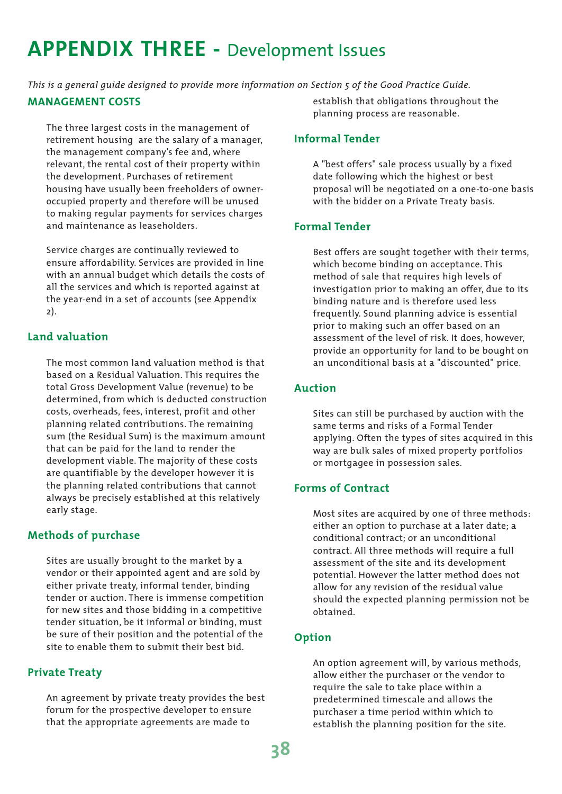# **APPENDIX THREE -** Development Issues

*This is a general guide designed to provide more information on Section 5 of the Good Practice Guide.*

#### **MANAGEMENT COSTS**

The three largest costs in the management of retirement housing are the salary of a manager, the management company's fee and, where relevant, the rental cost of their property within the development. Purchases of retirement housing have usually been freeholders of owneroccupied property and therefore will be unused to making regular payments for services charges and maintenance as leaseholders.

Service charges are continually reviewed to ensure affordability. Services are provided in line with an annual budget which details the costs of all the services and which is reported against at the year-end in a set of accounts (see Appendix 2).

# **Land valuation**

The most common land valuation method is that based on a Residual Valuation. This requires the total Gross Development Value (revenue) to be determined, from which is deducted construction costs, overheads, fees, interest, profit and other planning related contributions. The remaining sum (the Residual Sum) is the maximum amount that can be paid for the land to render the development viable. The majority of these costs are quantifiable by the developer however it is the planning related contributions that cannot always be precisely established at this relatively early stage.

# **Methods of purchase**

Sites are usually brought to the market by a vendor or their appointed agent and are sold by either private treaty, informal tender, binding tender or auction. There is immense competition for new sites and those bidding in a competitive tender situation, be it informal or binding, must be sure of their position and the potential of the site to enable them to submit their best bid.

# **Private Treaty**

An agreement by private treaty provides the best forum for the prospective developer to ensure that the appropriate agreements are made to

establish that obligations throughout the planning process are reasonable.

# **Informal Tender**

A "best offers" sale process usually by a fixed date following which the highest or best proposal will be negotiated on a one-to-one basis with the bidder on a Private Treaty basis.

# **Formal Tender**

Best offers are sought together with their terms, which become binding on acceptance. This method of sale that requires high levels of investigation prior to making an offer, due to its binding nature and is therefore used less frequently. Sound planning advice is essential prior to making such an offer based on an assessment of the level of risk. It does, however, provide an opportunity for land to be bought on an unconditional basis at a "discounted" price.

# **Auction**

Sites can still be purchased by auction with the same terms and risks of a Formal Tender applying. Often the types of sites acquired in this way are bulk sales of mixed property portfolios or mortgagee in possession sales.

# **Forms of Contract**

Most sites are acquired by one of three methods: either an option to purchase at a later date; a conditional contract; or an unconditional contract. All three methods will require a full assessment of the site and its development potential. However the latter method does not allow for any revision of the residual value should the expected planning permission not be obtained.

# **Option**

An option agreement will, by various methods, allow either the purchaser or the vendor to require the sale to take place within a predetermined timescale and allows the purchaser a time period within which to establish the planning position for the site.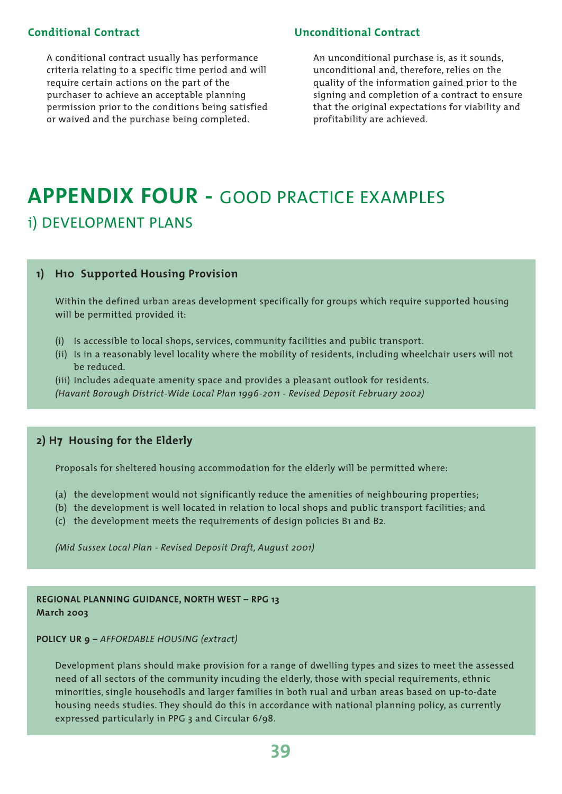### **Conditional Contract**

A conditional contract usually has performance criteria relating to a specific time period and will require certain actions on the part of the purchaser to achieve an acceptable planning permission prior to the conditions being satisfied or waived and the purchase being completed.

### **Unconditional Contract**

An unconditional purchase is, as it sounds, unconditional and, therefore, relies on the quality of the information gained prior to the signing and completion of a contract to ensure that the original expectations for viability and profitability are achieved.

# **APPENDIX FOUR -** GOOD PRACTICE EXAMPLES i) DEVELOPMENT PLANS

#### **1) H10 Supported Housing Provision**

Within the defined urban areas development specifically for groups which require supported housing will be permitted provided it:

- (i) Is accessible to local shops, services, community facilities and public transport.
- (ii) Is in a reasonably level locality where the mobility of residents, including wheelchair users will not be reduced.
- (iii) Includes adequate amenity space and provides a pleasant outlook for residents.
- *(Havant Borough District-Wide Local Plan 1996-2011 Revised Deposit February 2002)*

#### **2) H7 Housing for the Elderly**

Proposals for sheltered housing accommodation for the elderly will be permitted where:

- (a) the development would not significantly reduce the amenities of neighbouring properties;
- (b) the development is well located in relation to local shops and public transport facilities; and
- (c) the development meets the requirements of design policies B1 and B2.

*(Mid Sussex Local Plan - Revised Deposit Draft, August 2001)*

#### **REGIONAL PLANNING GUIDANCE, NORTH WEST – RPG 13 March 2003**

#### **POLICY UR 9 –** *AFFORDABLE HOUSING (extract)*

Development plans should make provision for a range of dwelling types and sizes to meet the assessed need of all sectors of the community incuding the elderly, those with special requirements, ethnic minorities, single househodls and larger families in both rual and urban areas based on up-to-date housing needs studies. They should do this in accordance with national planning policy, as currently expressed particularly in PPG 3 and Circular 6/98.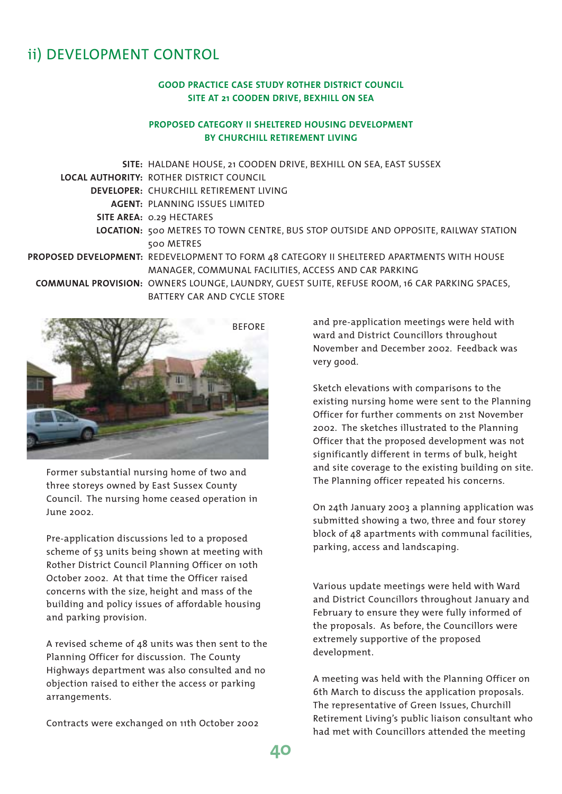# ii) DEVELOPMENT CONTROL

#### **GOOD PRACTICE CASE STUDY ROTHER DISTRICT COUNCIL SITE AT 21 COODEN DRIVE, BEXHILL ON SEA**

#### **PROPOSED CATEGORY II SHELTERED HOUSING DEVELOPMENT BY CHURCHILL RETIREMENT LIVING**

**SITE:** HALDANE HOUSE, 21 COODEN DRIVE, BEXHILL ON SEA, EAST SUSSEX **LOCAL AUTHORITY:** ROTHER DISTRICT COUNCIL **DEVELOPER:** CHURCHILL RETIREMENT LIVING **AGENT:** PLANNING ISSUES LIMITED **SITE AREA:** 0.29 HECTARES **LOCATION:** 500 METRES TO TOWN CENTRE, BUS STOP OUTSIDE AND OPPOSITE, RAILWAY STATION 500 METRES **PROPOSED DEVELOPMENT:** REDEVELOPMENT TO FORM 48 CATEGORY II SHELTERED APARTMENTS WITH HOUSE MANAGER, COMMUNAL FACILITIES, ACCESS AND CAR PARKING **COMMUNAL PROVISION:** OWNERS LOUNGE, LAUNDRY, GUEST SUITE, REFUSE ROOM, 16 CAR PARKING SPACES, BATTERY CAR AND CYCLE STORE



Former substantial nursing home of two and three storeys owned by East Sussex County Council. The nursing home ceased operation in June 2002.

Pre-application discussions led to a proposed scheme of 53 units being shown at meeting with Rother District Council Planning Officer on 10th October 2002. At that time the Officer raised concerns with the size, height and mass of the building and policy issues of affordable housing and parking provision.

A revised scheme of 48 units was then sent to the Planning Officer for discussion. The County Highways department was also consulted and no objection raised to either the access or parking arrangements.

Contracts were exchanged on 11th October 2002

and pre-application meetings were held with ward and District Councillors throughout November and December 2002. Feedback was very good.

Sketch elevations with comparisons to the existing nursing home were sent to the Planning Officer for further comments on 21st November 2002. The sketches illustrated to the Planning Officer that the proposed development was not significantly different in terms of bulk, height and site coverage to the existing building on site. The Planning officer repeated his concerns.

On 24th January 2003 a planning application was submitted showing a two, three and four storey block of 48 apartments with communal facilities, parking, access and landscaping.

Various update meetings were held with Ward and District Councillors throughout January and February to ensure they were fully informed of the proposals. As before, the Councillors were extremely supportive of the proposed development.

A meeting was held with the Planning Officer on 6th March to discuss the application proposals. The representative of Green Issues, Churchill Retirement Living's public liaison consultant who had met with Councillors attended the meeting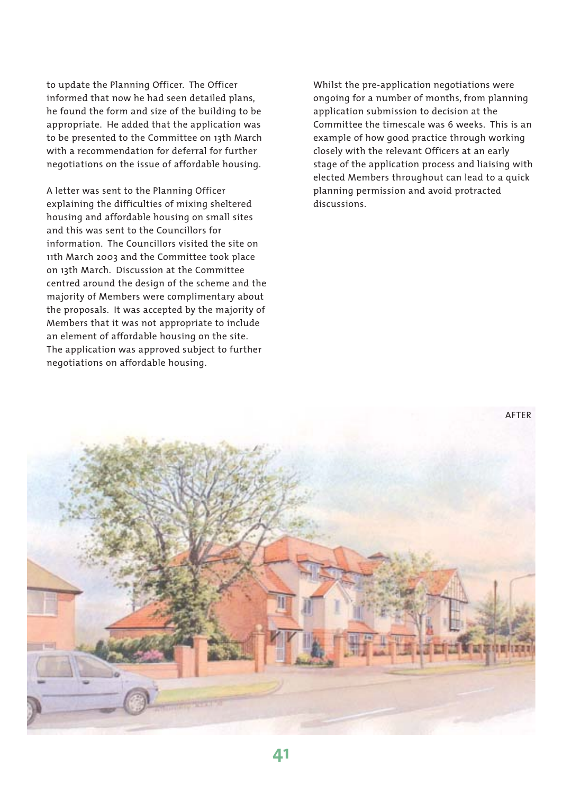to update the Planning Officer. The Officer informed that now he had seen detailed plans, he found the form and size of the building to be appropriate. He added that the application was to be presented to the Committee on 13th March with a recommendation for deferral for further negotiations on the issue of affordable housing.

A letter was sent to the Planning Officer explaining the difficulties of mixing sheltered housing and affordable housing on small sites and this was sent to the Councillors for information. The Councillors visited the site on 11th March 2003 and the Committee took place on 13th March. Discussion at the Committee centred around the design of the scheme and the majority of Members were complimentary about the proposals. It was accepted by the majority of Members that it was not appropriate to include an element of affordable housing on the site. The application was approved subject to further negotiations on affordable housing.

Whilst the pre-application negotiations were ongoing for a number of months, from planning application submission to decision at the Committee the timescale was 6 weeks. This is an example of how good practice through working closely with the relevant Officers at an early stage of the application process and liaising with elected Members throughout can lead to a quick planning permission and avoid protracted discussions.

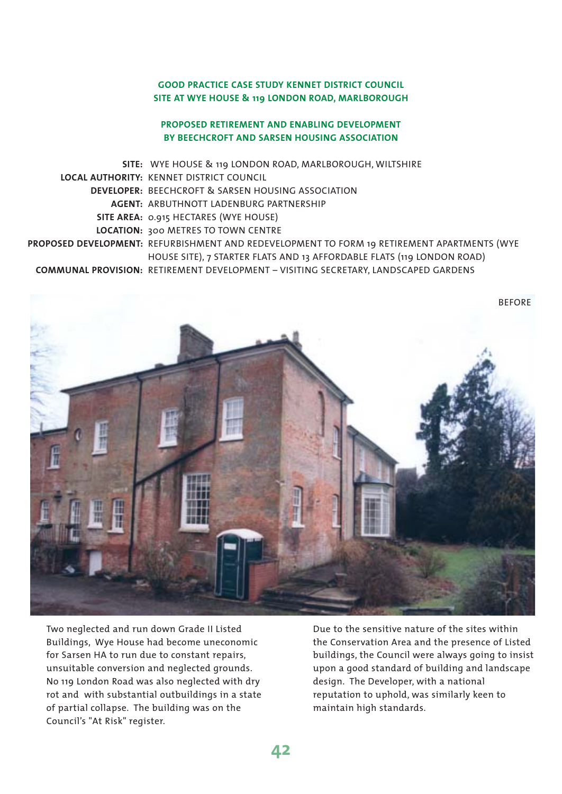#### **GOOD PRACTICE CASE STUDY KENNET DISTRICT COUNCIL SITE AT WYE HOUSE & 119 LONDON ROAD, MARLBOROUGH**

#### **PROPOSED RETIREMENT AND ENABLING DEVELOPMENT BY BEECHCROFT AND SARSEN HOUSING ASSOCIATION**

**SITE:** WYE HOUSE & 119 LONDON ROAD, MARLBOROUGH, WILTSHIRE **LOCAL AUTHORITY:** KENNET DISTRICT COUNCIL **DEVELOPER:** BEECHCROFT & SARSEN HOUSING ASSOCIATION **AGENT:** ARBUTHNOTT LADENBURG PARTNERSHIP **SITE AREA:** 0.915 HECTARES (WYE HOUSE) **LOCATION:** 300 METRES TO TOWN CENTRE **PROPOSED DEVELOPMENT:** REFURBISHMENT AND REDEVELOPMENT TO FORM 19 RETIREMENT APARTMENTS (WYE HOUSE SITE), 7 STARTER FLATS AND 13 AFFORDABLE FLATS (119 LONDON ROAD) **COMMUNAL PROVISION:** RETIREMENT DEVELOPMENT – VISITING SECRETARY, LANDSCAPED GARDENS



Two neglected and run down Grade II Listed Buildings, Wye House had become uneconomic for Sarsen HA to run due to constant repairs, unsuitable conversion and neglected grounds. No 119 London Road was also neglected with dry rot and with substantial outbuildings in a state of partial collapse. The building was on the Council's "At Risk" register.

Due to the sensitive nature of the sites within the Conservation Area and the presence of Listed buildings, the Council were always going to insist upon a good standard of building and landscape design. The Developer, with a national reputation to uphold, was similarly keen to maintain high standards.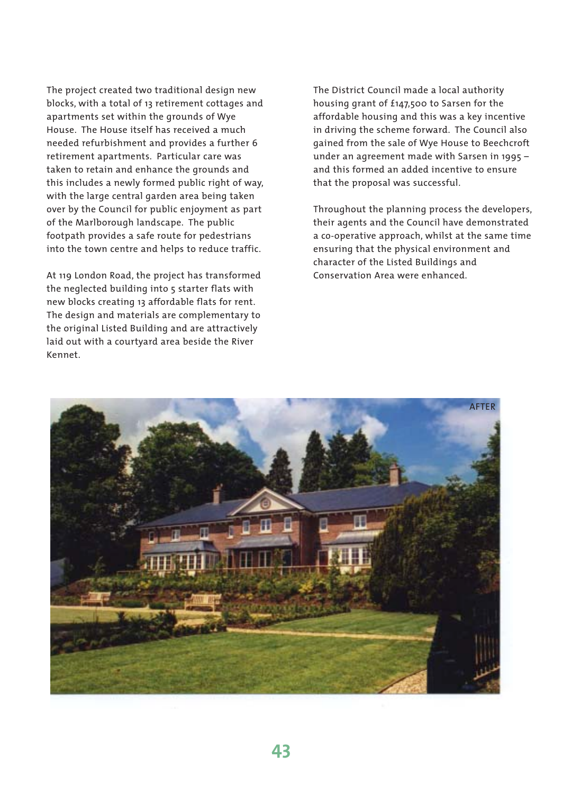The project created two traditional design new blocks, with a total of 13 retirement cottages and apartments set within the grounds of Wye House. The House itself has received a much needed refurbishment and provides a further 6 retirement apartments. Particular care was taken to retain and enhance the grounds and this includes a newly formed public right of way, with the large central garden area being taken over by the Council for public enjoyment as part of the Marlborough landscape. The public footpath provides a safe route for pedestrians into the town centre and helps to reduce traffic.

At 119 London Road, the project has transformed the neglected building into 5 starter flats with new blocks creating 13 affordable flats for rent. The design and materials are complementary to the original Listed Building and are attractively laid out with a courtyard area beside the River Kennet.

The District Council made a local authority housing grant of £147,500 to Sarsen for the affordable housing and this was a key incentive in driving the scheme forward. The Council also gained from the sale of Wye House to Beechcroft under an agreement made with Sarsen in 1995 – and this formed an added incentive to ensure that the proposal was successful.

Throughout the planning process the developers, their agents and the Council have demonstrated a co-operative approach, whilst at the same time ensuring that the physical environment and character of the Listed Buildings and Conservation Area were enhanced.

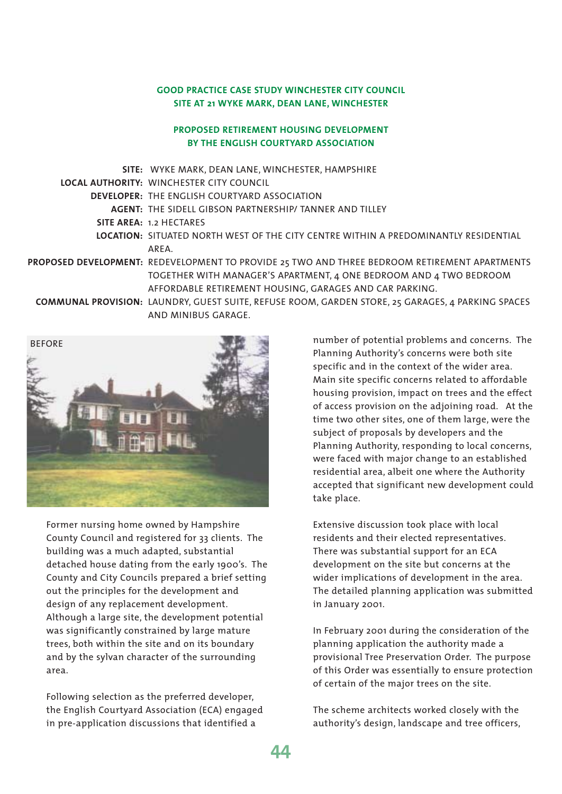#### **GOOD PRACTICE CASE STUDY WINCHESTER CITY COUNCIL SITE AT 21 WYKE MARK, DEAN LANE, WINCHESTER**

#### **PROPOSED RETIREMENT HOUSING DEVELOPMENT BY THE ENGLISH COURTYARD ASSOCIATION**

**SITE:** WYKE MARK, DEAN LANE, WINCHESTER, HAMPSHIRE

**LOCAL AUTHORITY:** WINCHESTER CITY COUNCIL

**DEVELOPER:** THE ENGLISH COURTYARD ASSOCIATION

**AGENT:** THE SIDELL GIBSON PARTNERSHIP/ TANNER AND TILLEY

- **SITE AREA:** 1.2 HECTARES
- **LOCATION:** SITUATED NORTH WEST OF THE CITY CENTRE WITHIN A PREDOMINANTLY RESIDENTIAL AREA.
- **PROPOSED DEVELOPMENT:** REDEVELOPMENT TO PROVIDE 25 TWO AND THREE BEDROOM RETIREMENT APARTMENTS TOGETHER WITH MANAGER'S APARTMENT, 4 ONE BEDROOM AND 4 TWO BEDROOM AFFORDABLE RETIREMENT HOUSING, GARAGES AND CAR PARKING.
	- **COMMUNAL PROVISION:** LAUNDRY, GUEST SUITE, REFUSE ROOM, GARDEN STORE, 25 GARAGES, 4 PARKING SPACES AND MINIBUS GARAGE.



Former nursing home owned by Hampshire County Council and registered for 33 clients. The building was a much adapted, substantial detached house dating from the early 1900's. The County and City Councils prepared a brief setting out the principles for the development and design of any replacement development. Although a large site, the development potential was significantly constrained by large mature trees, both within the site and on its boundary and by the sylvan character of the surrounding area.

Following selection as the preferred developer, the English Courtyard Association (ECA) engaged in pre-application discussions that identified a

number of potential problems and concerns. The Planning Authority's concerns were both site specific and in the context of the wider area. Main site specific concerns related to affordable housing provision, impact on trees and the effect of access provision on the adjoining road. At the time two other sites, one of them large, were the subject of proposals by developers and the Planning Authority, responding to local concerns, were faced with major change to an established residential area, albeit one where the Authority accepted that significant new development could take place.

Extensive discussion took place with local residents and their elected representatives. There was substantial support for an ECA development on the site but concerns at the wider implications of development in the area. The detailed planning application was submitted in January 2001.

In February 2001 during the consideration of the planning application the authority made a provisional Tree Preservation Order. The purpose of this Order was essentially to ensure protection of certain of the major trees on the site.

The scheme architects worked closely with the authority's design, landscape and tree officers,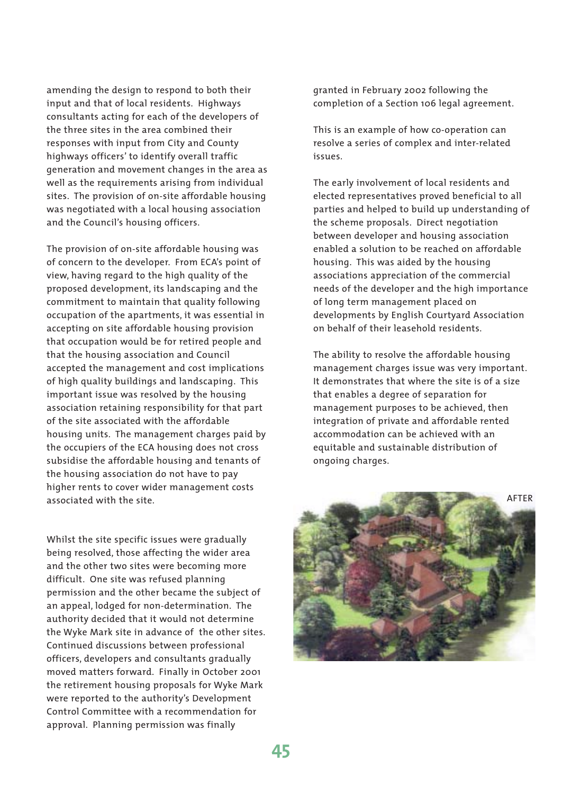amending the design to respond to both their input and that of local residents. Highways consultants acting for each of the developers of the three sites in the area combined their responses with input from City and County highways officers' to identify overall traffic generation and movement changes in the area as well as the requirements arising from individual sites. The provision of on-site affordable housing was negotiated with a local housing association and the Council's housing officers.

The provision of on-site affordable housing was of concern to the developer. From ECA's point of view, having regard to the high quality of the proposed development, its landscaping and the commitment to maintain that quality following occupation of the apartments, it was essential in accepting on site affordable housing provision that occupation would be for retired people and that the housing association and Council accepted the management and cost implications of high quality buildings and landscaping. This important issue was resolved by the housing association retaining responsibility for that part of the site associated with the affordable housing units. The management charges paid by the occupiers of the ECA housing does not cross subsidise the affordable housing and tenants of the housing association do not have to pay higher rents to cover wider management costs associated with the site.

Whilst the site specific issues were gradually being resolved, those affecting the wider area and the other two sites were becoming more difficult. One site was refused planning permission and the other became the subject of an appeal, lodged for non-determination. The authority decided that it would not determine the Wyke Mark site in advance of the other sites. Continued discussions between professional officers, developers and consultants gradually moved matters forward. Finally in October 2001 the retirement housing proposals for Wyke Mark were reported to the authority's Development Control Committee with a recommendation for approval. Planning permission was finally

granted in February 2002 following the completion of a Section 106 legal agreement.

This is an example of how co-operation can resolve a series of complex and inter-related issues.

The early involvement of local residents and elected representatives proved beneficial to all parties and helped to build up understanding of the scheme proposals. Direct negotiation between developer and housing association enabled a solution to be reached on affordable housing. This was aided by the housing associations appreciation of the commercial needs of the developer and the high importance of long term management placed on developments by English Courtyard Association on behalf of their leasehold residents.

The ability to resolve the affordable housing management charges issue was very important. It demonstrates that where the site is of a size that enables a degree of separation for management purposes to be achieved, then integration of private and affordable rented accommodation can be achieved with an equitable and sustainable distribution of ongoing charges.

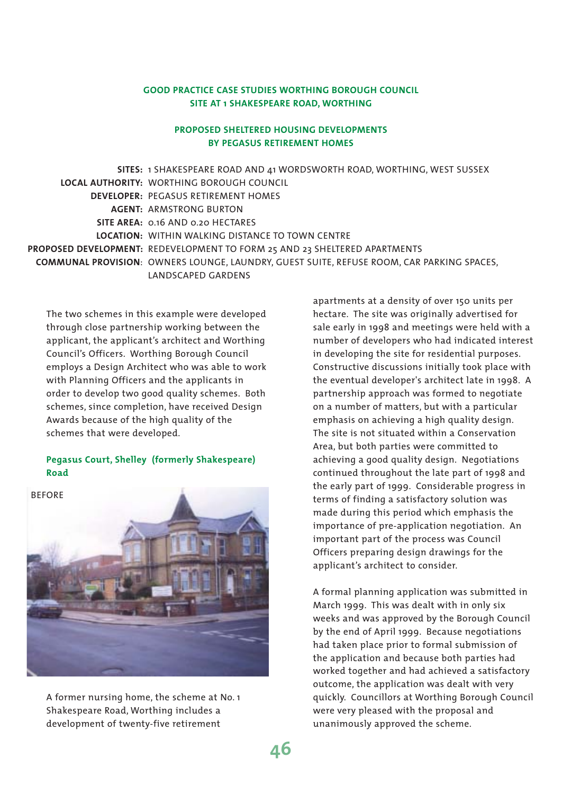#### **GOOD PRACTICE CASE STUDIES WORTHING BOROUGH COUNCIL SITE AT 1 SHAKESPEARE ROAD, WORTHING**

#### **PROPOSED SHELTERED HOUSING DEVELOPMENTS BY PEGASUS RETIREMENT HOMES**

**SITES:** 1 SHAKESPEARE ROAD AND 41 WORDSWORTH ROAD, WORTHING, WEST SUSSEX **LOCAL AUTHORITY:** WORTHING BOROUGH COUNCIL **DEVELOPER:** PEGASUS RETIREMENT HOMES **AGENT:** ARMSTRONG BURTON **SITE AREA:** 0.16 AND 0.20 HECTARES **LOCATION:** WITHIN WALKING DISTANCE TO TOWN CENTRE **PROPOSED DEVELOPMENT:** REDEVELOPMENT TO FORM 25 AND 23 SHELTERED APARTMENTS **COMMUNAL PROVISION**: OWNERS LOUNGE, LAUNDRY, GUEST SUITE, REFUSE ROOM, CAR PARKING SPACES, LANDSCAPED GARDENS

The two schemes in this example were developed through close partnership working between the applicant, the applicant's architect and Worthing Council's Officers. Worthing Borough Council employs a Design Architect who was able to work with Planning Officers and the applicants in order to develop two good quality schemes. Both schemes, since completion, have received Design Awards because of the high quality of the schemes that were developed.

#### **Pegasus Court, Shelley (formerly Shakespeare) Road**



A former nursing home, the scheme at No. 1 Shakespeare Road, Worthing includes a development of twenty-five retirement

apartments at a density of over 150 units per hectare. The site was originally advertised for sale early in 1998 and meetings were held with a number of developers who had indicated interest in developing the site for residential purposes. Constructive discussions initially took place with the eventual developer's architect late in 1998. A partnership approach was formed to negotiate on a number of matters, but with a particular emphasis on achieving a high quality design. The site is not situated within a Conservation Area, but both parties were committed to achieving a good quality design. Negotiations continued throughout the late part of 1998 and the early part of 1999. Considerable progress in terms of finding a satisfactory solution was made during this period which emphasis the importance of pre-application negotiation. An important part of the process was Council Officers preparing design drawings for the applicant's architect to consider.

A formal planning application was submitted in March 1999. This was dealt with in only six weeks and was approved by the Borough Council by the end of April 1999. Because negotiations had taken place prior to formal submission of the application and because both parties had worked together and had achieved a satisfactory outcome, the application was dealt with very quickly. Councillors at Worthing Borough Council were very pleased with the proposal and unanimously approved the scheme.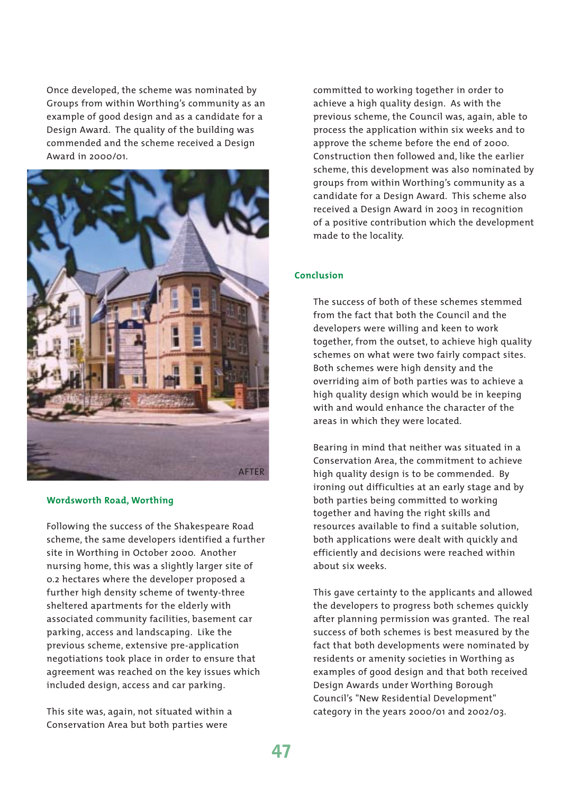Once developed, the scheme was nominated by Groups from within Worthing's community as an example of good design and as a candidate for a Design Award. The quality of the building was commended and the scheme received a Design Award in 2000/01.



#### **Wordsworth Road, Worthing**

Following the success of the Shakespeare Road scheme, the same developers identified a further site in Worthing in October 2000. Another nursing home, this was a slightly larger site of 0.2 hectares where the developer proposed a further high density scheme of twenty-three sheltered apartments for the elderly with associated community facilities, basement car parking, access and landscaping. Like the previous scheme, extensive pre-application negotiations took place in order to ensure that agreement was reached on the key issues which included design, access and car parking.

This site was, again, not situated within a Conservation Area but both parties were

committed to working together in order to achieve a high quality design. As with the previous scheme, the Council was, again, able to process the application within six weeks and to approve the scheme before the end of 2000. Construction then followed and, like the earlier scheme, this development was also nominated by groups from within Worthing's community as a candidate for a Design Award. This scheme also received a Design Award in 2003 in recognition of a positive contribution which the development made to the locality.

#### **Conclusion**

The success of both of these schemes stemmed from the fact that both the Council and the developers were willing and keen to work together, from the outset, to achieve high quality schemes on what were two fairly compact sites. Both schemes were high density and the overriding aim of both parties was to achieve a high quality design which would be in keeping with and would enhance the character of the areas in which they were located.

Bearing in mind that neither was situated in a Conservation Area, the commitment to achieve high quality design is to be commended. By ironing out difficulties at an early stage and by both parties being committed to working together and having the right skills and resources available to find a suitable solution, both applications were dealt with quickly and efficiently and decisions were reached within about six weeks.

This gave certainty to the applicants and allowed the developers to progress both schemes quickly after planning permission was granted. The real success of both schemes is best measured by the fact that both developments were nominated by residents or amenity societies in Worthing as examples of good design and that both received Design Awards under Worthing Borough Council's "New Residential Development" category in the years 2000/01 and 2002/03.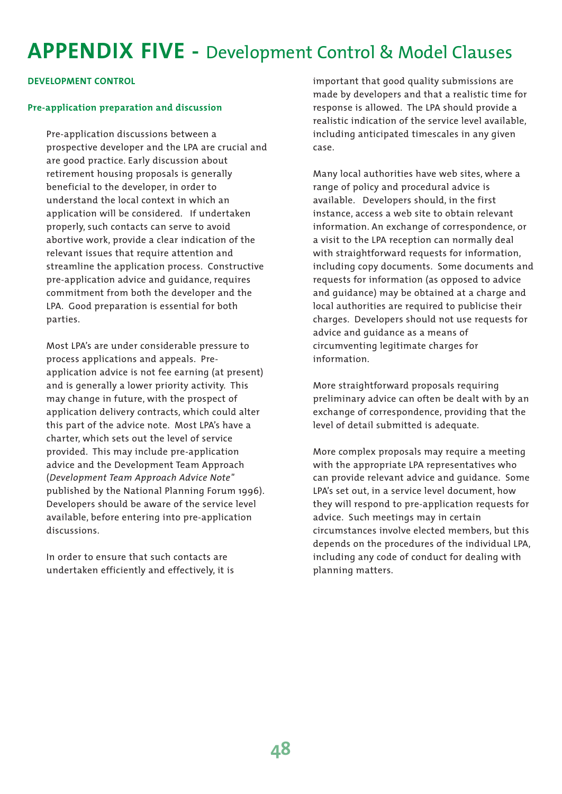# **APPENDIX FIVE -** Development Control & Model Clauses

#### **DEVELOPMENT CONTROL**

#### **Pre-application preparation and discussion**

Pre-application discussions between a prospective developer and the LPA are crucial and are good practice. Early discussion about retirement housing proposals is generally beneficial to the developer, in order to understand the local context in which an application will be considered. If undertaken properly, such contacts can serve to avoid abortive work, provide a clear indication of the relevant issues that require attention and streamline the application process. Constructive pre-application advice and guidance, requires commitment from both the developer and the LPA. Good preparation is essential for both parties.

Most LPA's are under considerable pressure to process applications and appeals. Preapplication advice is not fee earning (at present) and is generally a lower priority activity. This may change in future, with the prospect of application delivery contracts, which could alter this part of the advice note. Most LPA's have a charter, which sets out the level of service provided. This may include pre-application advice and the Development Team Approach (*Development Team Approach Advice Note"* published by the National Planning Forum 1996). Developers should be aware of the service level available, before entering into pre-application discussions.

In order to ensure that such contacts are undertaken efficiently and effectively, it is important that good quality submissions are made by developers and that a realistic time for response is allowed. The LPA should provide a realistic indication of the service level available, including anticipated timescales in any given case.

Many local authorities have web sites, where a range of policy and procedural advice is available. Developers should, in the first instance, access a web site to obtain relevant information. An exchange of correspondence, or a visit to the LPA reception can normally deal with straightforward requests for information, including copy documents. Some documents and requests for information (as opposed to advice and guidance) may be obtained at a charge and local authorities are required to publicise their charges. Developers should not use requests for advice and guidance as a means of circumventing legitimate charges for information.

More straightforward proposals requiring preliminary advice can often be dealt with by an exchange of correspondence, providing that the level of detail submitted is adequate.

More complex proposals may require a meeting with the appropriate LPA representatives who can provide relevant advice and guidance. Some LPA's set out, in a service level document, how they will respond to pre-application requests for advice. Such meetings may in certain circumstances involve elected members, but this depends on the procedures of the individual LPA, including any code of conduct for dealing with planning matters.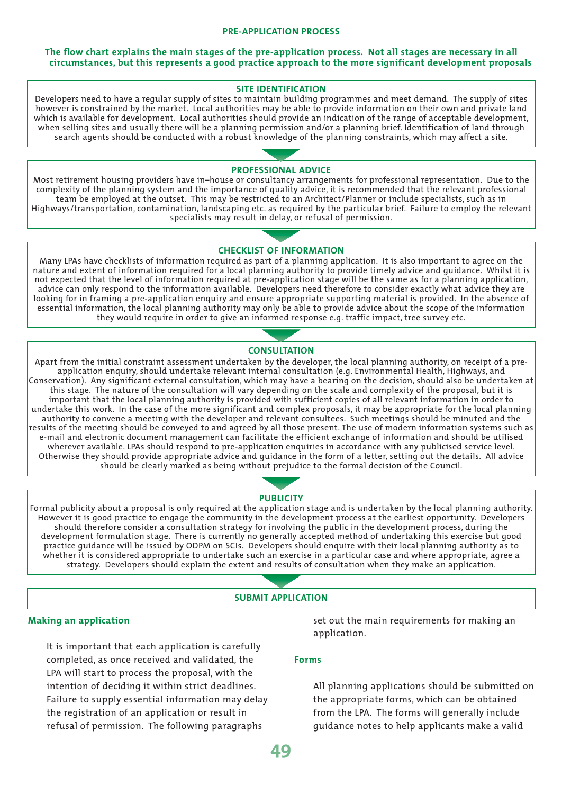#### **PRE-APPLICATION PROCESS**

#### **The flow chart explains the main stages of the pre-application process. Not all stages are necessary in all circumstances, but this represents a good practice approach to the more significant development proposals**

#### **SITE IDENTIFICATION**

Developers need to have a regular supply of sites to maintain building programmes and meet demand. The supply of sites however is constrained by the market. Local authorities may be able to provide information on their own and private land which is available for development. Local authorities should provide an indication of the range of acceptable development, when selling sites and usually there will be a planning permission and/or a planning brief. Identification of land through search agents should be conducted with a robust knowledge of the planning constraints, which may affect a site.

#### **PROFESSIONAL ADVICE**

Most retirement housing providers have in–house or consultancy arrangements for professional representation. Due to the complexity of the planning system and the importance of quality advice, it is recommended that the relevant professional team be employed at the outset. This may be restricted to an Architect/Planner or include specialists, such as in Highways/transportation, contamination, landscaping etc. as required by the particular brief. Failure to employ the relevant specialists may result in delay, or refusal of permission.

#### **CHECKLIST OF INFORMATION**

Many LPAs have checklists of information required as part of a planning application. It is also important to agree on the nature and extent of information required for a local planning authority to provide timely advice and guidance. Whilst it is not expected that the level of information required at pre-application stage will be the same as for a planning application, advice can only respond to the information available. Developers need therefore to consider exactly what advice they are looking for in framing a pre-application enquiry and ensure appropriate supporting material is provided. In the absence of essential information, the local planning authority may only be able to provide advice about the scope of the information they would require in order to give an informed response e.g. traffic impact, tree survey etc.

#### **CONSULTATION**

Apart from the initial constraint assessment undertaken by the developer, the local planning authority, on receipt of a preapplication enquiry, should undertake relevant internal consultation (e.g. Environmental Health, Highways, and Conservation). Any significant external consultation, which may have a bearing on the decision, should also be undertaken at this stage. The nature of the consultation will vary depending on the scale and complexity of the proposal, but it is important that the local planning authority is provided with sufficient copies of all relevant information in order to undertake this work. In the case of the more significant and complex proposals, it may be appropriate for the local planning authority to convene a meeting with the developer and relevant consultees. Such meetings should be minuted and the results of the meeting should be conveyed to and agreed by all those present. The use of modern information systems such as e-mail and electronic document management can facilitate the efficient exchange of information and should be utilised wherever available. LPAs should respond to pre-application enquiries in accordance with any publicised service level. Otherwise they should provide appropriate advice and guidance in the form of a letter, setting out the details. All advice should be clearly marked as being without prejudice to the formal decision of the Council.

#### **PUBLICITY**

Formal publicity about a proposal is only required at the application stage and is undertaken by the local planning authority. However it is good practice to engage the community in the development process at the earliest opportunity. Developers should therefore consider a consultation strategy for involving the public in the development process, during the development formulation stage. There is currently no generally accepted method of undertaking this exercise but good practice guidance will be issued by ODPM on SCIs. Developers should enquire with their local planning authority as to whether it is considered appropriate to undertake such an exercise in a particular case and where appropriate, agree a strategy. Developers should explain the extent and results of consultation when they make an application.

#### **SUBMIT APPLICATION**

#### **Making an application**

It is important that each application is carefully completed, as once received and validated, the LPA will start to process the proposal, with the intention of deciding it within strict deadlines. Failure to supply essential information may delay the registration of an application or result in refusal of permission. The following paragraphs

set out the main requirements for making an application.

#### **Forms**

All planning applications should be submitted on the appropriate forms, which can be obtained from the LPA. The forms will generally include guidance notes to help applicants make a valid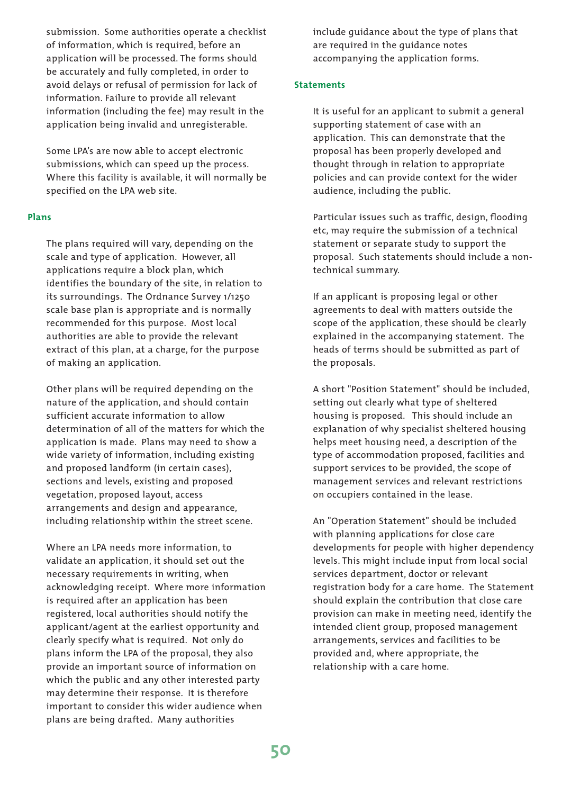submission. Some authorities operate a checklist of information, which is required, before an application will be processed. The forms should be accurately and fully completed, in order to avoid delays or refusal of permission for lack of information. Failure to provide all relevant information (including the fee) may result in the application being invalid and unregisterable.

Some LPA's are now able to accept electronic submissions, which can speed up the process. Where this facility is available, it will normally be specified on the LPA web site.

#### **Plans**

The plans required will vary, depending on the scale and type of application. However, all applications require a block plan, which identifies the boundary of the site, in relation to its surroundings. The Ordnance Survey 1/1250 scale base plan is appropriate and is normally recommended for this purpose. Most local authorities are able to provide the relevant extract of this plan, at a charge, for the purpose of making an application.

Other plans will be required depending on the nature of the application, and should contain sufficient accurate information to allow determination of all of the matters for which the application is made. Plans may need to show a wide variety of information, including existing and proposed landform (in certain cases), sections and levels, existing and proposed vegetation, proposed layout, access arrangements and design and appearance, including relationship within the street scene.

Where an LPA needs more information, to validate an application, it should set out the necessary requirements in writing, when acknowledging receipt. Where more information is required after an application has been registered, local authorities should notify the applicant/agent at the earliest opportunity and clearly specify what is required. Not only do plans inform the LPA of the proposal, they also provide an important source of information on which the public and any other interested party may determine their response. It is therefore important to consider this wider audience when plans are being drafted. Many authorities

include guidance about the type of plans that are required in the guidance notes accompanying the application forms.

#### **Statements**

It is useful for an applicant to submit a general supporting statement of case with an application. This can demonstrate that the proposal has been properly developed and thought through in relation to appropriate policies and can provide context for the wider audience, including the public.

Particular issues such as traffic, design, flooding etc, may require the submission of a technical statement or separate study to support the proposal. Such statements should include a nontechnical summary.

If an applicant is proposing legal or other agreements to deal with matters outside the scope of the application, these should be clearly explained in the accompanying statement. The heads of terms should be submitted as part of the proposals.

A short "Position Statement" should be included, setting out clearly what type of sheltered housing is proposed. This should include an explanation of why specialist sheltered housing helps meet housing need, a description of the type of accommodation proposed, facilities and support services to be provided, the scope of management services and relevant restrictions on occupiers contained in the lease.

An "Operation Statement" should be included with planning applications for close care developments for people with higher dependency levels. This might include input from local social services department, doctor or relevant registration body for a care home. The Statement should explain the contribution that close care provision can make in meeting need, identify the intended client group, proposed management arrangements, services and facilities to be provided and, where appropriate, the relationship with a care home.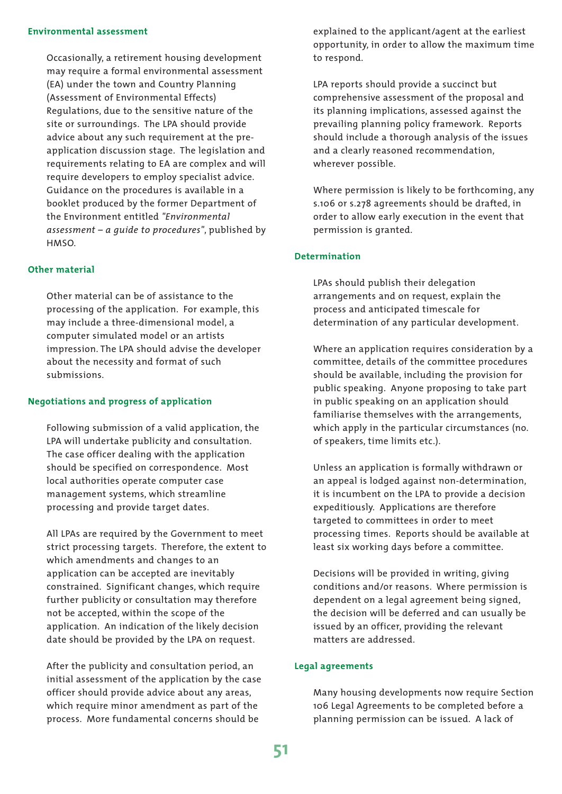#### **Environmental assessment**

Occasionally, a retirement housing development may require a formal environmental assessment (EA) under the town and Country Planning (Assessment of Environmental Effects) Regulations, due to the sensitive nature of the site or surroundings. The LPA should provide advice about any such requirement at the preapplication discussion stage. The legislation and requirements relating to EA are complex and will require developers to employ specialist advice. Guidance on the procedures is available in a booklet produced by the former Department of the Environment entitled *"Environmental assessment – a guide to procedures"*, published by HMSO.

#### **Other material**

Other material can be of assistance to the processing of the application. For example, this may include a three-dimensional model, a computer simulated model or an artists impression. The LPA should advise the developer about the necessity and format of such submissions.

#### **Negotiations and progress of application**

Following submission of a valid application, the LPA will undertake publicity and consultation. The case officer dealing with the application should be specified on correspondence. Most local authorities operate computer case management systems, which streamline processing and provide target dates.

All LPAs are required by the Government to meet strict processing targets. Therefore, the extent to which amendments and changes to an application can be accepted are inevitably constrained. Significant changes, which require further publicity or consultation may therefore not be accepted, within the scope of the application. An indication of the likely decision date should be provided by the LPA on request.

After the publicity and consultation period, an initial assessment of the application by the case officer should provide advice about any areas, which require minor amendment as part of the process. More fundamental concerns should be

explained to the applicant/agent at the earliest opportunity, in order to allow the maximum time to respond.

LPA reports should provide a succinct but comprehensive assessment of the proposal and its planning implications, assessed against the prevailing planning policy framework. Reports should include a thorough analysis of the issues and a clearly reasoned recommendation, wherever possible.

Where permission is likely to be forthcoming, any s.106 or s.278 agreements should be drafted, in order to allow early execution in the event that permission is granted.

#### **Determination**

LPAs should publish their delegation arrangements and on request, explain the process and anticipated timescale for determination of any particular development.

Where an application requires consideration by a committee, details of the committee procedures should be available, including the provision for public speaking. Anyone proposing to take part in public speaking on an application should familiarise themselves with the arrangements, which apply in the particular circumstances (no. of speakers, time limits etc.).

Unless an application is formally withdrawn or an appeal is lodged against non-determination, it is incumbent on the LPA to provide a decision expeditiously. Applications are therefore targeted to committees in order to meet processing times. Reports should be available at least six working days before a committee.

Decisions will be provided in writing, giving conditions and/or reasons. Where permission is dependent on a legal agreement being signed, the decision will be deferred and can usually be issued by an officer, providing the relevant matters are addressed.

#### **Legal agreements**

Many housing developments now require Section 106 Legal Agreements to be completed before a planning permission can be issued. A lack of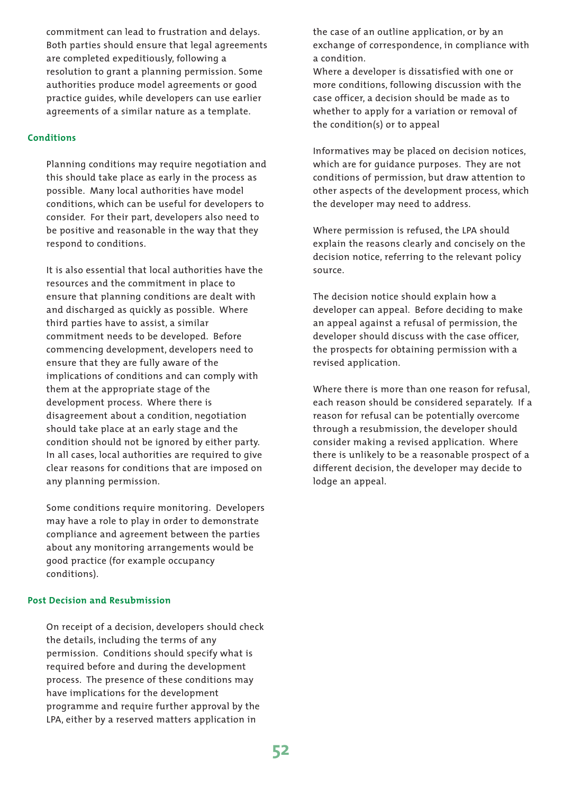commitment can lead to frustration and delays. Both parties should ensure that legal agreements are completed expeditiously, following a resolution to grant a planning permission. Some authorities produce model agreements or good practice guides, while developers can use earlier agreements of a similar nature as a template.

#### **Conditions**

Planning conditions may require negotiation and this should take place as early in the process as possible. Many local authorities have model conditions, which can be useful for developers to consider. For their part, developers also need to be positive and reasonable in the way that they respond to conditions.

It is also essential that local authorities have the resources and the commitment in place to ensure that planning conditions are dealt with and discharged as quickly as possible. Where third parties have to assist, a similar commitment needs to be developed. Before commencing development, developers need to ensure that they are fully aware of the implications of conditions and can comply with them at the appropriate stage of the development process. Where there is disagreement about a condition, negotiation should take place at an early stage and the condition should not be ignored by either party. In all cases, local authorities are required to give clear reasons for conditions that are imposed on any planning permission.

Some conditions require monitoring. Developers may have a role to play in order to demonstrate compliance and agreement between the parties about any monitoring arrangements would be good practice (for example occupancy conditions).

#### **Post Decision and Resubmission**

On receipt of a decision, developers should check the details, including the terms of any permission. Conditions should specify what is required before and during the development process. The presence of these conditions may have implications for the development programme and require further approval by the LPA, either by a reserved matters application in

the case of an outline application, or by an exchange of correspondence, in compliance with a condition.

Where a developer is dissatisfied with one or more conditions, following discussion with the case officer, a decision should be made as to whether to apply for a variation or removal of the condition(s) or to appeal

Informatives may be placed on decision notices, which are for guidance purposes. They are not conditions of permission, but draw attention to other aspects of the development process, which the developer may need to address.

Where permission is refused, the LPA should explain the reasons clearly and concisely on the decision notice, referring to the relevant policy source.

The decision notice should explain how a developer can appeal. Before deciding to make an appeal against a refusal of permission, the developer should discuss with the case officer, the prospects for obtaining permission with a revised application.

Where there is more than one reason for refusal, each reason should be considered separately. If a reason for refusal can be potentially overcome through a resubmission, the developer should consider making a revised application. Where there is unlikely to be a reasonable prospect of a different decision, the developer may decide to lodge an appeal.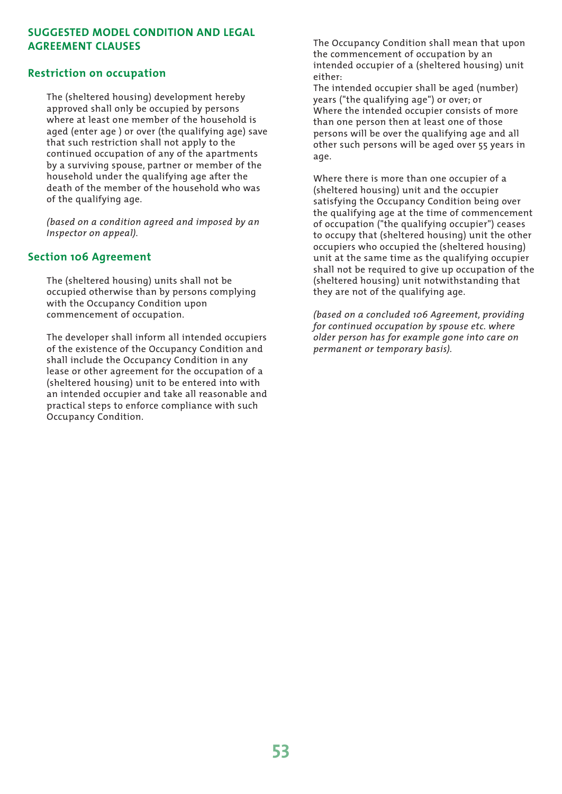#### **SUGGESTED MODEL CONDITION AND LEGAL AGREEMENT CLAUSES**

#### **Restriction on occupation**

The (sheltered housing) development hereby approved shall only be occupied by persons where at least one member of the household is aged (enter age ) or over (the qualifying age) save that such restriction shall not apply to the continued occupation of any of the apartments by a surviving spouse, partner or member of the household under the qualifying age after the death of the member of the household who was of the qualifying age.

*(based on a condition agreed and imposed by an Inspector on appeal).*

#### **Section 106 Agreement**

The (sheltered housing) units shall not be occupied otherwise than by persons complying with the Occupancy Condition upon commencement of occupation.

The developer shall inform all intended occupiers of the existence of the Occupancy Condition and shall include the Occupancy Condition in any lease or other agreement for the occupation of a (sheltered housing) unit to be entered into with an intended occupier and take all reasonable and practical steps to enforce compliance with such Occupancy Condition.

The Occupancy Condition shall mean that upon the commencement of occupation by an intended occupier of a (sheltered housing) unit either:

The intended occupier shall be aged (number) years ("the qualifying age") or over; or Where the intended occupier consists of more than one person then at least one of those persons will be over the qualifying age and all other such persons will be aged over 55 years in age.

Where there is more than one occupier of a (sheltered housing) unit and the occupier satisfying the Occupancy Condition being over the qualifying age at the time of commencement of occupation ("the qualifying occupier") ceases to occupy that (sheltered housing) unit the other occupiers who occupied the (sheltered housing) unit at the same time as the qualifying occupier shall not be required to give up occupation of the (sheltered housing) unit notwithstanding that they are not of the qualifying age.

*(based on a concluded 106 Agreement, providing for continued occupation by spouse etc. where older person has for example gone into care on permanent or temporary basis).*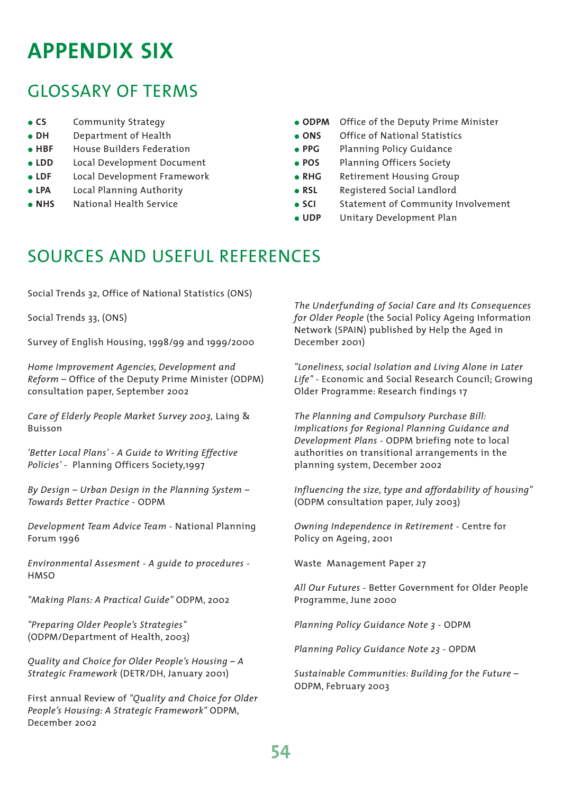# **APPENDIX SIX**

# GLOSSARY OF TERMS

- **CS** Community Strategy
- **DH** Department of Health
- **HBF** House Builders Federation
- **LDD** Local Development Document
- **LDF** Local Development Framework
- **LPA** Local Planning Authority
- **NHS** National Health Service
- **ODPM** Office of the Deputy Prime Minister
- **ONS** Office of National Statistics
- **PPG** Planning Policy Guidance
- **POS** Planning Officers Society
- **RHG** Retirement Housing Group
- **RSL** Registered Social Landlord
- **SCI** Statement of Community Involvement
- **UDP** Unitary Development Plan

# SOURCES AND USEFUL REFERENCES

Social Trends 32, Office of National Statistics (ONS)

Social Trends 33, (ONS)

Survey of English Housing, 1998/99 and 1999/2000

*Home Improvement Agencies, Development and Reform* – Office of the Deputy Prime Minister (ODPM) consultation paper, September 2002

*Care of Elderly People Market Survey 2003,* Laing & Buisson

*'Better Local Plans' - A Guide to Writing Effective Policies'* - Planning Officers Society,1997

*By Design – Urban Design in the Planning System – Towards Better Practice* - ODPM

*Development Team Advice Team* - National Planning Forum 1996

*Environmental Assesment - A guide to procedures* - **HMSO** 

*"Making Plans: A Practical Guide"* ODPM, 2002

*"Preparing Older People's Strategies"* (ODPM/Department of Health, 2003)

*Quality and Choice for Older People's Housing – A Strategic Framework* (DETR/DH, January 2001)

First annual Review of *"Quality and Choice for Older People's Housing: A Strategic Framework"* ODPM, December 2002

*The Underfunding of Social Care and Its Consequences for Older People* (the Social Policy Ageing Information Network (SPAIN) published by Help the Aged in December 2001)

*"Loneliness, social Isolation and Living Alone in Later Life"* - Economic and Social Research Council; Growing Older Programme: Research findings 17

*The Planning and Compulsory Purchase Bill: Implications for Regional Planning Guidance and Development Plans* - ODPM briefing note to local authorities on transitional arrangements in the planning system, December 2002

*Influencing the size, type and affordability of housing"* (ODPM consultation paper, July 2003)

*Owning Independence in Retirement* - Centre for Policy on Ageing, 2001

Waste Management Paper 27

*All Our Futures* - Better Government for Older People Programme, June 2000

*Planning Policy Guidance Note 3* - ODPM

*Planning Policy Guidance Note 23* - OPDM

*Sustainable Communities: Building for the Future* – ODPM, February 2003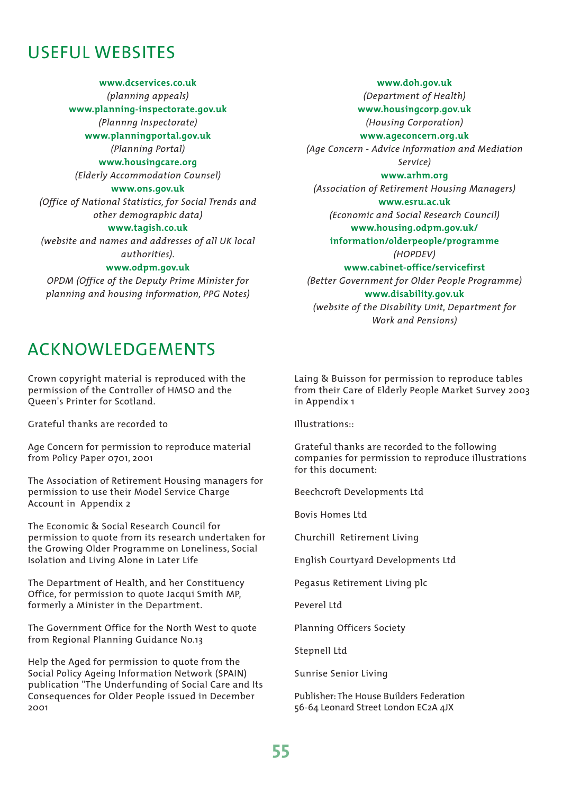# USEFUL WEBSITES

**www.dcservices.co.uk**  *(planning appeals)* **www.planning-inspectorate.gov.uk** *(Plannng Inspectorate)* **www.planningportal.gov.uk**  *(Planning Portal)* **www.housingcare.org**  *(Elderly Accommodation Counsel)* **www.ons.gov.uk**  *(Office of National Statistics, for Social Trends and other demographic data)* **www.tagish.co.uk**  *(website and names and addresses of all UK local*

*authorities).*

#### **www.odpm.gov.uk**

*OPDM (Office of the Deputy Prime Minister for planning and housing information, PPG Notes)*

#### **www.doh.gov.uk**  *(Department of Health)* **www.housingcorp.gov.uk**  *(Housing Corporation)* **www.ageconcern.org.uk** *(Age Concern - Advice Information and Mediation Service)* **www.arhm.org** *(Association of Retirement Housing Managers)* **www.esru.ac.uk** *(Economic and Social Research Council)* **www.housing.odpm.gov.uk/ information/olderpeople/programme** *(HOPDEV)* **www.cabinet-office/servicefirst** *(Better Government for Older People Programme)* **www.disability.gov.uk**  *(website of the Disability Unit, Department for*

# ACKNOWLEDGEMENTS

Crown copyright material is reproduced with the permission of the Controller of HMSO and the Queen's Printer for Scotland.

Grateful thanks are recorded to

Age Concern for permission to reproduce material from Policy Paper 0701, 2001

The Association of Retirement Housing managers for permission to use their Model Service Charge Account in Appendix 2

The Economic & Social Research Council for permission to quote from its research undertaken for the Growing Older Programme on Loneliness, Social Isolation and Living Alone in Later Life

The Department of Health, and her Constituency Office, for permission to quote Jacqui Smith MP, formerly a Minister in the Department.

The Government Office for the North West to quote from Regional Planning Guidance No.13

Help the Aged for permission to quote from the Social Policy Ageing Information Network (SPAIN) publication "The Underfunding of Social Care and Its Consequences for Older People issued in December 2001

Laing & Buisson for permission to reproduce tables from their Care of Elderly People Market Survey 2003 in Appendix 1

*Work and Pensions)*

Illustrations::

Grateful thanks are recorded to the following companies for permission to reproduce illustrations for this document:

Beechcroft Developments Ltd

Bovis Homes Ltd

Churchill Retirement Living

English Courtyard Developments Ltd

Pegasus Retirement Living plc

Peverel Ltd

Planning Officers Society

Stepnell Ltd

Sunrise Senior Living

Publisher: The House Builders Federation 56-64 Leonard Street London EC2A 4JX